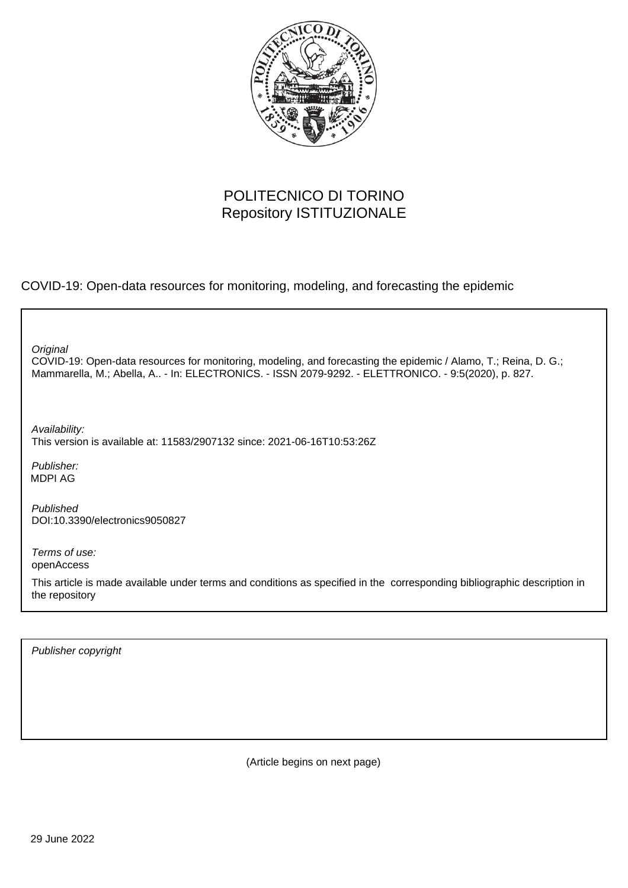

## POLITECNICO DI TORINO Repository ISTITUZIONALE

COVID-19: Open-data resources for monitoring, modeling, and forecasting the epidemic

**Original** 

COVID-19: Open-data resources for monitoring, modeling, and forecasting the epidemic / Alamo, T.; Reina, D. G.; Mammarella, M.; Abella, A.. - In: ELECTRONICS. - ISSN 2079-9292. - ELETTRONICO. - 9:5(2020), p. 827.

Availability: This version is available at: 11583/2907132 since: 2021-06-16T10:53:26Z

Publisher: MDPI AG

Published DOI:10.3390/electronics9050827

Terms of use: openAccess

This article is made available under terms and conditions as specified in the corresponding bibliographic description in the repository

Publisher copyright

(Article begins on next page)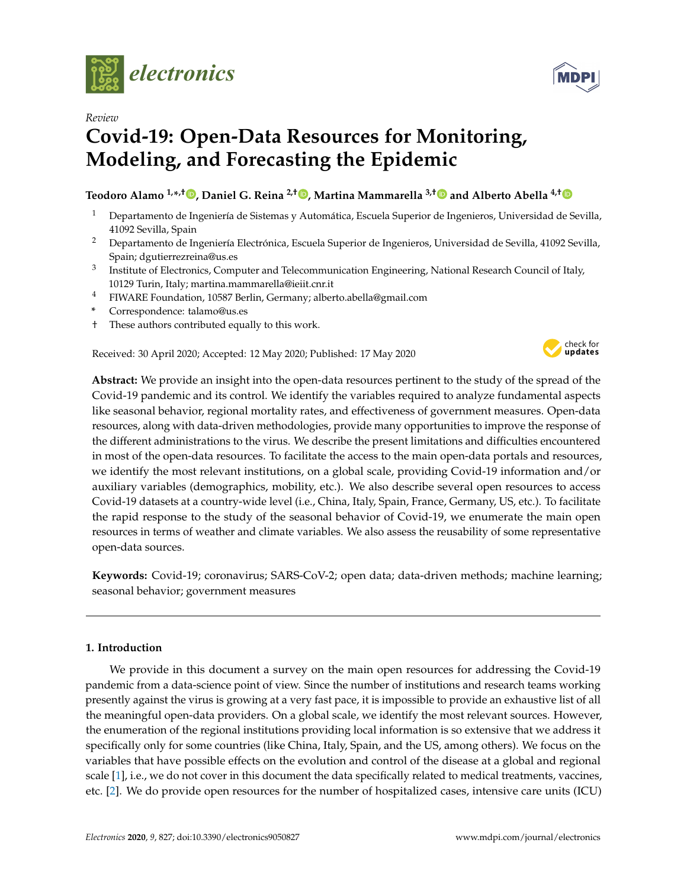



# *Review* **Covid-19: Open-Data Resources for Monitoring, Modeling, and Forecasting the Epidemic**

## **Teodoro Alamo 1,\* ,† [,](https://orcid.org/0000-0002-0623-8146) Daniel G. Reina 2,† [,](https://orcid.org/0000-0002-2481-5058) Martina Mammarella 3,† and Alberto Abella 4,[†](https://orcid.org/0000-0003-0243-4606)**

- <sup>1</sup> Departamento de Ingeniería de Sistemas y Automática, Escuela Superior de Ingenieros, Universidad de Sevilla, 41092 Sevilla, Spain
- <sup>2</sup> Departamento de Ingeniería Electrónica, Escuela Superior de Ingenieros, Universidad de Sevilla, 41092 Sevilla, Spain; dgutierrezreina@us.es
- 3 Institute of Electronics, Computer and Telecommunication Engineering, National Research Council of Italy, 10129 Turin, Italy; martina.mammarella@ieiit.cnr.it
- <sup>4</sup> FIWARE Foundation, 10587 Berlin, Germany; alberto.abella@gmail.com
- **\*** Correspondence: talamo@us.es
- † These authors contributed equally to this work.

Received: 30 April 2020; Accepted: 12 May 2020; Published: 17 May 2020



**Abstract:** We provide an insight into the open-data resources pertinent to the study of the spread of the Covid-19 pandemic and its control. We identify the variables required to analyze fundamental aspects like seasonal behavior, regional mortality rates, and effectiveness of government measures. Open-data resources, along with data-driven methodologies, provide many opportunities to improve the response of the different administrations to the virus. We describe the present limitations and difficulties encountered in most of the open-data resources. To facilitate the access to the main open-data portals and resources, we identify the most relevant institutions, on a global scale, providing Covid-19 information and/or auxiliary variables (demographics, mobility, etc.). We also describe several open resources to access Covid-19 datasets at a country-wide level (i.e., China, Italy, Spain, France, Germany, US, etc.). To facilitate the rapid response to the study of the seasonal behavior of Covid-19, we enumerate the main open resources in terms of weather and climate variables. We also assess the reusability of some representative open-data sources.

**Keywords:** Covid-19; coronavirus; SARS-CoV-2; open data; data-driven methods; machine learning; seasonal behavior; government measures

## **1. Introduction**

We provide in this document a survey on the main open resources for addressing the Covid-19 pandemic from a data-science point of view. Since the number of institutions and research teams working presently against the virus is growing at a very fast pace, it is impossible to provide an exhaustive list of all the meaningful open-data providers. On a global scale, we identify the most relevant sources. However, the enumeration of the regional institutions providing local information is so extensive that we address it specifically only for some countries (like China, Italy, Spain, and the US, among others). We focus on the variables that have possible effects on the evolution and control of the disease at a global and regional scale [1], i.e., we do not cover in this document the data specifically related to medical treatments, vaccines, etc. [2]. We do provide open resources for the number of hospitalized cases, intensive care units (ICU)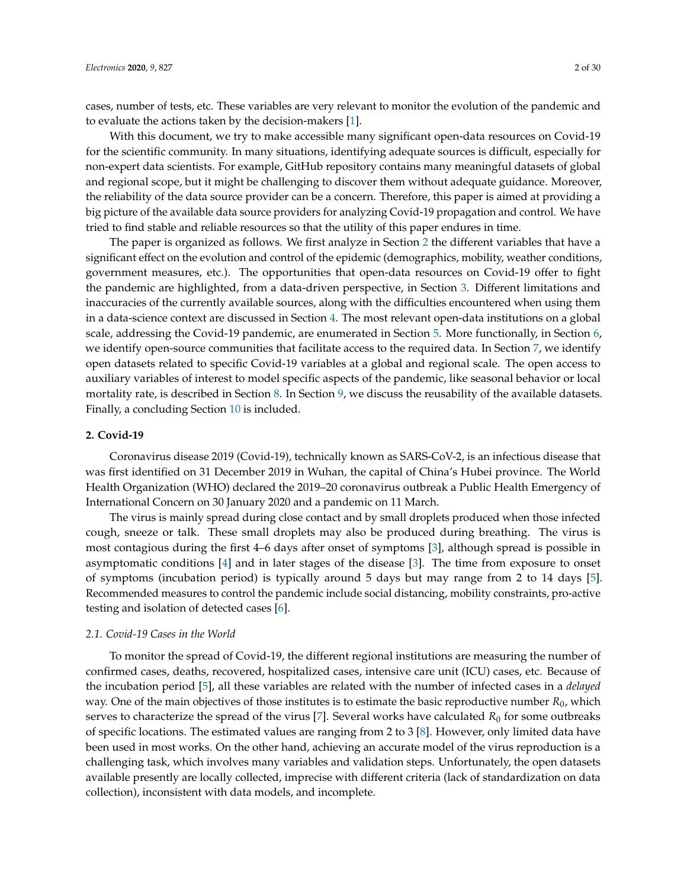cases, number of tests, etc. These variables are very relevant to monitor the evolution of the pandemic and to evaluate the actions taken by the decision-makers [1].

With this document, we try to make accessible many significant open-data resources on Covid-19 for the scientific community. In many situations, identifying adequate sources is difficult, especially for non-expert data scientists. For example, GitHub repository contains many meaningful datasets of global and regional scope, but it might be challenging to discover them without adequate guidance. Moreover, the reliability of the data source provider can be a concern. Therefore, this paper is aimed at providing a big picture of the available data source providers for analyzing Covid-19 propagation and control. We have tried to find stable and reliable resources so that the utility of this paper endures in time.

The paper is organized as follows. We first analyze in Section 2 the different variables that have a significant effect on the evolution and control of the epidemic (demographics, mobility, weather conditions, government measures, etc.). The opportunities that open-data resources on Covid-19 offer to fight the pandemic are highlighted, from a data-driven perspective, in Section 3. Different limitations and inaccuracies of the currently available sources, along with the difficulties encountered when using them in a data-science context are discussed in Section 4. The most relevant open-data institutions on a global scale, addressing the Covid-19 pandemic, are enumerated in Section 5. More functionally, in Section 6, we identify open-source communities that facilitate access to the required data. In Section 7, we identify open datasets related to specific Covid-19 variables at a global and regional scale. The open access to auxiliary variables of interest to model specific aspects of the pandemic, like seasonal behavior or local mortality rate, is described in Section 8. In Section 9, we discuss the reusability of the available datasets. Finally, a concluding Section 10 is included.

## **2. Covid-19**

Coronavirus disease 2019 (Covid-19), technically known as SARS-CoV-2, is an infectious disease that was first identified on 31 December 2019 in Wuhan, the capital of China's Hubei province. The World Health Organization (WHO) declared the 2019–20 coronavirus outbreak a Public Health Emergency of International Concern on 30 January 2020 and a pandemic on 11 March.

The virus is mainly spread during close contact and by small droplets produced when those infected cough, sneeze or talk. These small droplets may also be produced during breathing. The virus is most contagious during the first 4–6 days after onset of symptoms [3], although spread is possible in asymptomatic conditions [4] and in later stages of the disease [3]. The time from exposure to onset of symptoms (incubation period) is typically around 5 days but may range from 2 to 14 days [5]. Recommended measures to control the pandemic include social distancing, mobility constraints, pro-active testing and isolation of detected cases [6].

#### *2.1. Covid-19 Cases in the World*

To monitor the spread of Covid-19, the different regional institutions are measuring the number of confirmed cases, deaths, recovered, hospitalized cases, intensive care unit (ICU) cases, etc. Because of the incubation period [5], all these variables are related with the number of infected cases in a *delayed* way. One of the main objectives of those institutes is to estimate the basic reproductive number  $R_0$ , which serves to characterize the spread of the virus [7]. Several works have calculated  $R_0$  for some outbreaks of specific locations. The estimated values are ranging from 2 to 3 [8]. However, only limited data have been used in most works. On the other hand, achieving an accurate model of the virus reproduction is a challenging task, which involves many variables and validation steps. Unfortunately, the open datasets available presently are locally collected, imprecise with different criteria (lack of standardization on data collection), inconsistent with data models, and incomplete.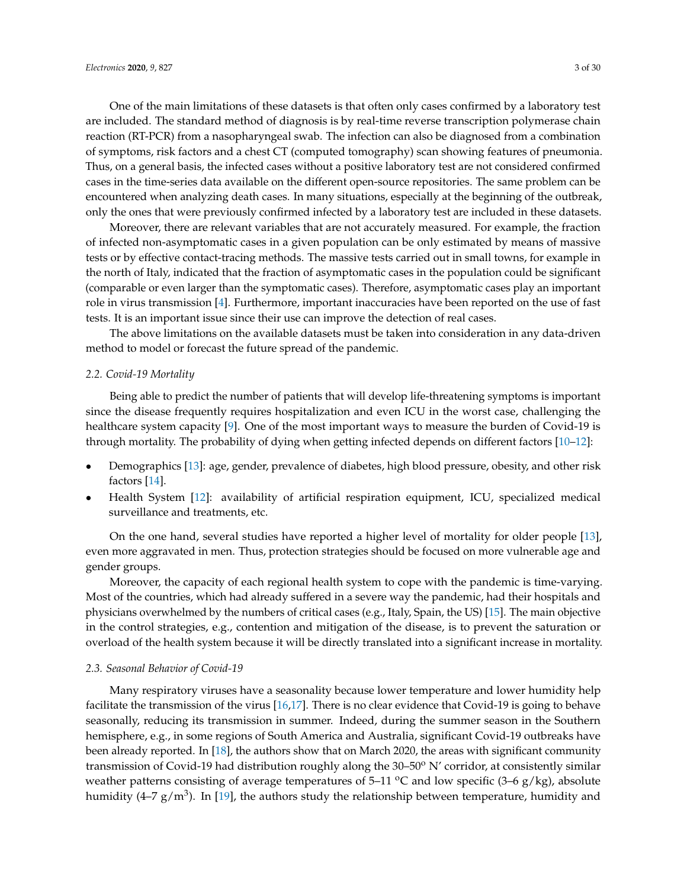One of the main limitations of these datasets is that often only cases confirmed by a laboratory test are included. The standard method of diagnosis is by real-time reverse transcription polymerase chain reaction (RT-PCR) from a nasopharyngeal swab. The infection can also be diagnosed from a combination of symptoms, risk factors and a chest CT (computed tomography) scan showing features of pneumonia. Thus, on a general basis, the infected cases without a positive laboratory test are not considered confirmed cases in the time-series data available on the different open-source repositories. The same problem can be encountered when analyzing death cases. In many situations, especially at the beginning of the outbreak, only the ones that were previously confirmed infected by a laboratory test are included in these datasets.

Moreover, there are relevant variables that are not accurately measured. For example, the fraction of infected non-asymptomatic cases in a given population can be only estimated by means of massive tests or by effective contact-tracing methods. The massive tests carried out in small towns, for example in the north of Italy, indicated that the fraction of asymptomatic cases in the population could be significant (comparable or even larger than the symptomatic cases). Therefore, asymptomatic cases play an important role in virus transmission [4]. Furthermore, important inaccuracies have been reported on the use of fast tests. It is an important issue since their use can improve the detection of real cases.

The above limitations on the available datasets must be taken into consideration in any data-driven method to model or forecast the future spread of the pandemic.

#### *2.2. Covid-19 Mortality*

Being able to predict the number of patients that will develop life-threatening symptoms is important since the disease frequently requires hospitalization and even ICU in the worst case, challenging the healthcare system capacity [9]. One of the most important ways to measure the burden of Covid-19 is through mortality. The probability of dying when getting infected depends on different factors [10–12]:

- Demographics [13]: age, gender, prevalence of diabetes, high blood pressure, obesity, and other risk factors [14].
- Health System [12]: availability of artificial respiration equipment, ICU, specialized medical surveillance and treatments, etc.

On the one hand, several studies have reported a higher level of mortality for older people [13], even more aggravated in men. Thus, protection strategies should be focused on more vulnerable age and gender groups.

Moreover, the capacity of each regional health system to cope with the pandemic is time-varying. Most of the countries, which had already suffered in a severe way the pandemic, had their hospitals and physicians overwhelmed by the numbers of critical cases (e.g., Italy, Spain, the US) [15]. The main objective in the control strategies, e.g., contention and mitigation of the disease, is to prevent the saturation or overload of the health system because it will be directly translated into a significant increase in mortality.

#### *2.3. Seasonal Behavior of Covid-19*

Many respiratory viruses have a seasonality because lower temperature and lower humidity help facilitate the transmission of the virus [16,17]. There is no clear evidence that Covid-19 is going to behave seasonally, reducing its transmission in summer. Indeed, during the summer season in the Southern hemisphere, e.g., in some regions of South America and Australia, significant Covid-19 outbreaks have been already reported. In [18], the authors show that on March 2020, the areas with significant community transmission of Covid-19 had distribution roughly along the  $30-50^{\circ}$  N' corridor, at consistently similar weather patterns consisting of average temperatures of 5–11  $\degree$ C and low specific (3–6 g/kg), absolute humidity (4–7 g/m<sup>3</sup>). In [19], the authors study the relationship between temperature, humidity and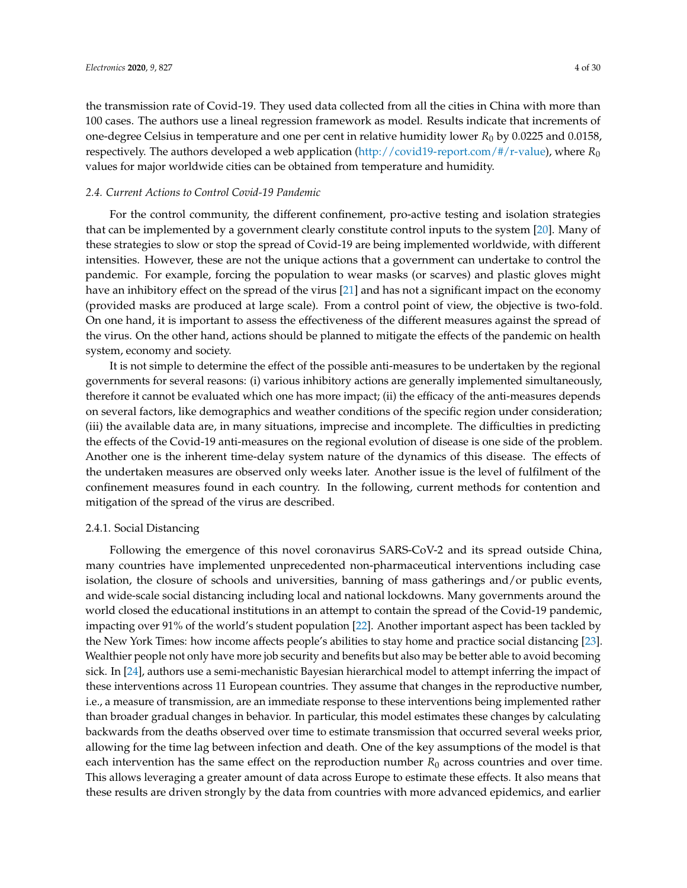the transmission rate of Covid-19. They used data collected from all the cities in China with more than 100 cases. The authors use a lineal regression framework as model. Results indicate that increments of one-degree Celsius in temperature and one per cent in relative humidity lower *R*<sup>0</sup> by 0.0225 and 0.0158, respectively. The authors developed a web application [\(http://covid19-report.com/#/r-value\)](http://covid19-report.com/#/r-value), where *R*<sup>0</sup> values for major worldwide cities can be obtained from temperature and humidity.

## *2.4. Current Actions to Control Covid-19 Pandemic*

For the control community, the different confinement, pro-active testing and isolation strategies that can be implemented by a government clearly constitute control inputs to the system [20]. Many of these strategies to slow or stop the spread of Covid-19 are being implemented worldwide, with different intensities. However, these are not the unique actions that a government can undertake to control the pandemic. For example, forcing the population to wear masks (or scarves) and plastic gloves might have an inhibitory effect on the spread of the virus [21] and has not a significant impact on the economy (provided masks are produced at large scale). From a control point of view, the objective is two-fold. On one hand, it is important to assess the effectiveness of the different measures against the spread of the virus. On the other hand, actions should be planned to mitigate the effects of the pandemic on health system, economy and society.

It is not simple to determine the effect of the possible anti-measures to be undertaken by the regional governments for several reasons: (i) various inhibitory actions are generally implemented simultaneously, therefore it cannot be evaluated which one has more impact; (ii) the efficacy of the anti-measures depends on several factors, like demographics and weather conditions of the specific region under consideration; (iii) the available data are, in many situations, imprecise and incomplete. The difficulties in predicting the effects of the Covid-19 anti-measures on the regional evolution of disease is one side of the problem. Another one is the inherent time-delay system nature of the dynamics of this disease. The effects of the undertaken measures are observed only weeks later. Another issue is the level of fulfilment of the confinement measures found in each country. In the following, current methods for contention and mitigation of the spread of the virus are described.

#### 2.4.1. Social Distancing

Following the emergence of this novel coronavirus SARS-CoV-2 and its spread outside China, many countries have implemented unprecedented non-pharmaceutical interventions including case isolation, the closure of schools and universities, banning of mass gatherings and/or public events, and wide-scale social distancing including local and national lockdowns. Many governments around the world closed the educational institutions in an attempt to contain the spread of the Covid-19 pandemic, impacting over 91% of the world's student population [22]. Another important aspect has been tackled by the New York Times: how income affects people's abilities to stay home and practice social distancing [23]. Wealthier people not only have more job security and benefits but also may be better able to avoid becoming sick. In [24], authors use a semi-mechanistic Bayesian hierarchical model to attempt inferring the impact of these interventions across 11 European countries. They assume that changes in the reproductive number, i.e., a measure of transmission, are an immediate response to these interventions being implemented rather than broader gradual changes in behavior. In particular, this model estimates these changes by calculating backwards from the deaths observed over time to estimate transmission that occurred several weeks prior, allowing for the time lag between infection and death. One of the key assumptions of the model is that each intervention has the same effect on the reproduction number  $R_0$  across countries and over time. This allows leveraging a greater amount of data across Europe to estimate these effects. It also means that these results are driven strongly by the data from countries with more advanced epidemics, and earlier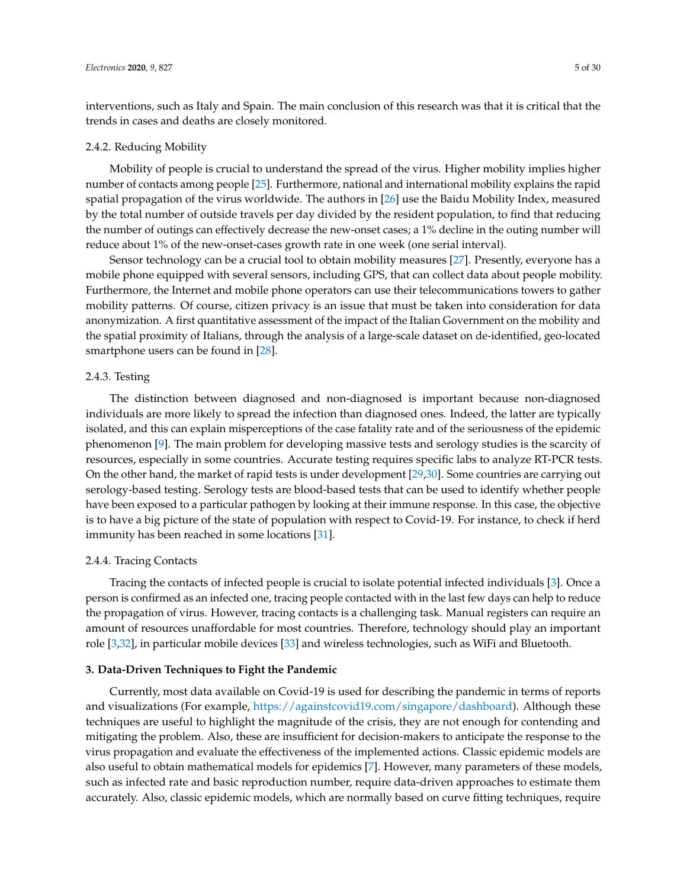interventions, such as Italy and Spain. The main conclusion of this research was that it is critical that the trends in cases and deaths are closely monitored.

#### 2.4.2. Reducing Mobility

Mobility of people is crucial to understand the spread of the virus. Higher mobility implies higher number of contacts among people [25]. Furthermore, national and international mobility explains the rapid spatial propagation of the virus worldwide. The authors in [26] use the Baidu Mobility Index, measured by the total number of outside travels per day divided by the resident population, to find that reducing the number of outings can effectively decrease the new-onset cases; a 1% decline in the outing number will reduce about 1% of the new-onset-cases growth rate in one week (one serial interval).

Sensor technology can be a crucial tool to obtain mobility measures [27]. Presently, everyone has a mobile phone equipped with several sensors, including GPS, that can collect data about people mobility. Furthermore, the Internet and mobile phone operators can use their telecommunications towers to gather mobility patterns. Of course, citizen privacy is an issue that must be taken into consideration for data anonymization. A first quantitative assessment of the impact of the Italian Government on the mobility and the spatial proximity of Italians, through the analysis of a large-scale dataset on de-identified, geo-located smartphone users can be found in [28].

#### 2.4.3. Testing

The distinction between diagnosed and non-diagnosed is important because non-diagnosed individuals are more likely to spread the infection than diagnosed ones. Indeed, the latter are typically isolated, and this can explain misperceptions of the case fatality rate and of the seriousness of the epidemic phenomenon [9]. The main problem for developing massive tests and serology studies is the scarcity of resources, especially in some countries. Accurate testing requires specific labs to analyze RT-PCR tests. On the other hand, the market of rapid tests is under development [29,30]. Some countries are carrying out serology-based testing. Serology tests are blood-based tests that can be used to identify whether people have been exposed to a particular pathogen by looking at their immune response. In this case, the objective is to have a big picture of the state of population with respect to Covid-19. For instance, to check if herd immunity has been reached in some locations [31].

#### 2.4.4. Tracing Contacts

Tracing the contacts of infected people is crucial to isolate potential infected individuals [3]. Once a person is confirmed as an infected one, tracing people contacted with in the last few days can help to reduce the propagation of virus. However, tracing contacts is a challenging task. Manual registers can require an amount of resources unaffordable for most countries. Therefore, technology should play an important role [3,32], in particular mobile devices [33] and wireless technologies, such as WiFi and Bluetooth.

#### **3. Data-Driven Techniques to Fight the Pandemic**

Currently, most data available on Covid-19 is used for describing the pandemic in terms of reports and visualizations (For example, [https://againstcovid19.com/singapore/dashboard\)](https://againstcovid19.com/singapore/dashboard). Although these techniques are useful to highlight the magnitude of the crisis, they are not enough for contending and mitigating the problem. Also, these are insufficient for decision-makers to anticipate the response to the virus propagation and evaluate the effectiveness of the implemented actions. Classic epidemic models are also useful to obtain mathematical models for epidemics [7]. However, many parameters of these models, such as infected rate and basic reproduction number, require data-driven approaches to estimate them accurately. Also, classic epidemic models, which are normally based on curve fitting techniques, require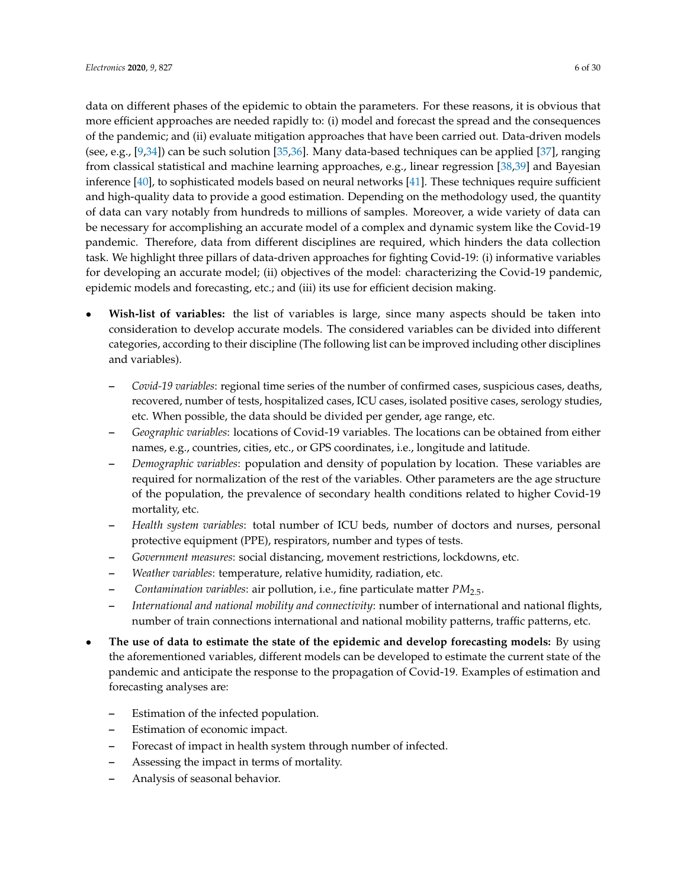data on different phases of the epidemic to obtain the parameters. For these reasons, it is obvious that more efficient approaches are needed rapidly to: (i) model and forecast the spread and the consequences of the pandemic; and (ii) evaluate mitigation approaches that have been carried out. Data-driven models (see, e.g., [9,34]) can be such solution [35,36]. Many data-based techniques can be applied [37], ranging from classical statistical and machine learning approaches, e.g., linear regression [38,39] and Bayesian inference [40], to sophisticated models based on neural networks [41]. These techniques require sufficient and high-quality data to provide a good estimation. Depending on the methodology used, the quantity of data can vary notably from hundreds to millions of samples. Moreover, a wide variety of data can be necessary for accomplishing an accurate model of a complex and dynamic system like the Covid-19 pandemic. Therefore, data from different disciplines are required, which hinders the data collection task. We highlight three pillars of data-driven approaches for fighting Covid-19: (i) informative variables for developing an accurate model; (ii) objectives of the model: characterizing the Covid-19 pandemic, epidemic models and forecasting, etc.; and (iii) its use for efficient decision making.

- **Wish-list of variables:** the list of variables is large, since many aspects should be taken into consideration to develop accurate models. The considered variables can be divided into different categories, according to their discipline (The following list can be improved including other disciplines and variables).
	- **–** *Covid-19 variables*: regional time series of the number of confirmed cases, suspicious cases, deaths, recovered, number of tests, hospitalized cases, ICU cases, isolated positive cases, serology studies, etc. When possible, the data should be divided per gender, age range, etc.
	- **–** *Geographic variables*: locations of Covid-19 variables. The locations can be obtained from either names, e.g., countries, cities, etc., or GPS coordinates, i.e., longitude and latitude.
	- **–** *Demographic variables*: population and density of population by location. These variables are required for normalization of the rest of the variables. Other parameters are the age structure of the population, the prevalence of secondary health conditions related to higher Covid-19 mortality, etc.
	- **–** *Health system variables*: total number of ICU beds, number of doctors and nurses, personal protective equipment (PPE), respirators, number and types of tests.
	- **–** *Government measures*: social distancing, movement restrictions, lockdowns, etc.
	- **–** *Weather variables*: temperature, relative humidity, radiation, etc.
	- **–** *Contamination variables*: air pollution, i.e., fine particulate matter *PM*2.5.
	- **–** *International and national mobility and connectivity*: number of international and national flights, number of train connections international and national mobility patterns, traffic patterns, etc.
- **The use of data to estimate the state of the epidemic and develop forecasting models:** By using the aforementioned variables, different models can be developed to estimate the current state of the pandemic and anticipate the response to the propagation of Covid-19. Examples of estimation and forecasting analyses are:
	- **–** Estimation of the infected population.
	- **–** Estimation of economic impact.
	- **–** Forecast of impact in health system through number of infected.
	- **–** Assessing the impact in terms of mortality.
	- **–** Analysis of seasonal behavior.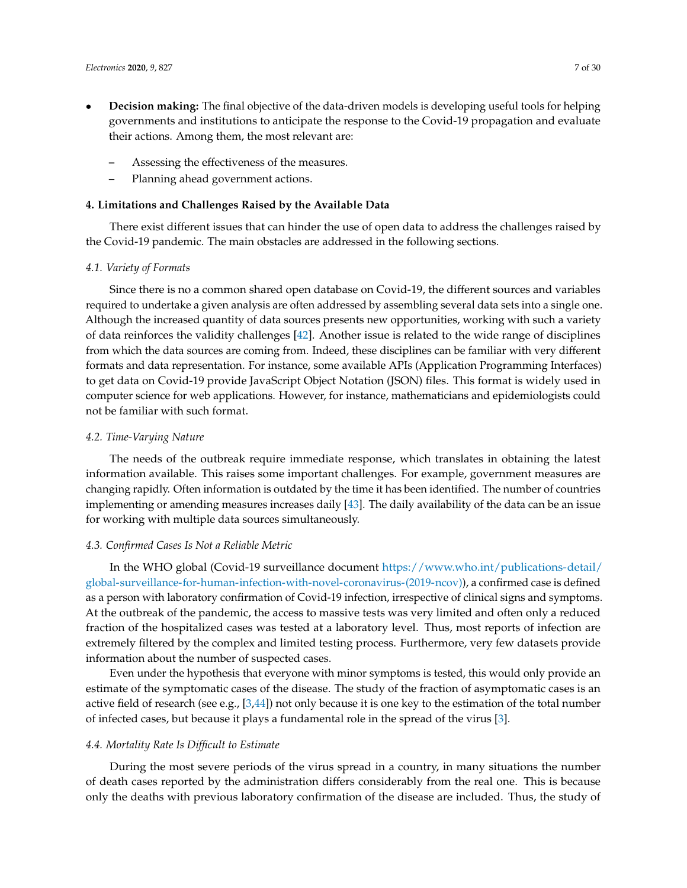- **Decision making:** The final objective of the data-driven models is developing useful tools for helping governments and institutions to anticipate the response to the Covid-19 propagation and evaluate their actions. Among them, the most relevant are:
	- **–** Assessing the effectiveness of the measures.
	- **–** Planning ahead government actions.

## **4. Limitations and Challenges Raised by the Available Data**

There exist different issues that can hinder the use of open data to address the challenges raised by the Covid-19 pandemic. The main obstacles are addressed in the following sections.

#### *4.1. Variety of Formats*

Since there is no a common shared open database on Covid-19, the different sources and variables required to undertake a given analysis are often addressed by assembling several data sets into a single one. Although the increased quantity of data sources presents new opportunities, working with such a variety of data reinforces the validity challenges [42]. Another issue is related to the wide range of disciplines from which the data sources are coming from. Indeed, these disciplines can be familiar with very different formats and data representation. For instance, some available APIs (Application Programming Interfaces) to get data on Covid-19 provide JavaScript Object Notation (JSON) files. This format is widely used in computer science for web applications. However, for instance, mathematicians and epidemiologists could not be familiar with such format.

#### *4.2. Time-Varying Nature*

The needs of the outbreak require immediate response, which translates in obtaining the latest information available. This raises some important challenges. For example, government measures are changing rapidly. Often information is outdated by the time it has been identified. The number of countries implementing or amending measures increases daily [43]. The daily availability of the data can be an issue for working with multiple data sources simultaneously.

#### *4.3. Confirmed Cases Is Not a Reliable Metric*

In the WHO global (Covid-19 surveillance document [https://www.who.int/publications-detail/](https://www.who.int/publications-detail/global-surveillance-for-human-infection-with-novel-coronavirus-(2019-ncov)) [global-surveillance-for-human-infection-with-novel-coronavirus-\(2019-ncov\)\)](https://www.who.int/publications-detail/global-surveillance-for-human-infection-with-novel-coronavirus-(2019-ncov)), a confirmed case is defined as a person with laboratory confirmation of Covid-19 infection, irrespective of clinical signs and symptoms. At the outbreak of the pandemic, the access to massive tests was very limited and often only a reduced fraction of the hospitalized cases was tested at a laboratory level. Thus, most reports of infection are extremely filtered by the complex and limited testing process. Furthermore, very few datasets provide information about the number of suspected cases.

Even under the hypothesis that everyone with minor symptoms is tested, this would only provide an estimate of the symptomatic cases of the disease. The study of the fraction of asymptomatic cases is an active field of research (see e.g., [3,44]) not only because it is one key to the estimation of the total number of infected cases, but because it plays a fundamental role in the spread of the virus [3].

#### *4.4. Mortality Rate Is Difficult to Estimate*

During the most severe periods of the virus spread in a country, in many situations the number of death cases reported by the administration differs considerably from the real one. This is because only the deaths with previous laboratory confirmation of the disease are included. Thus, the study of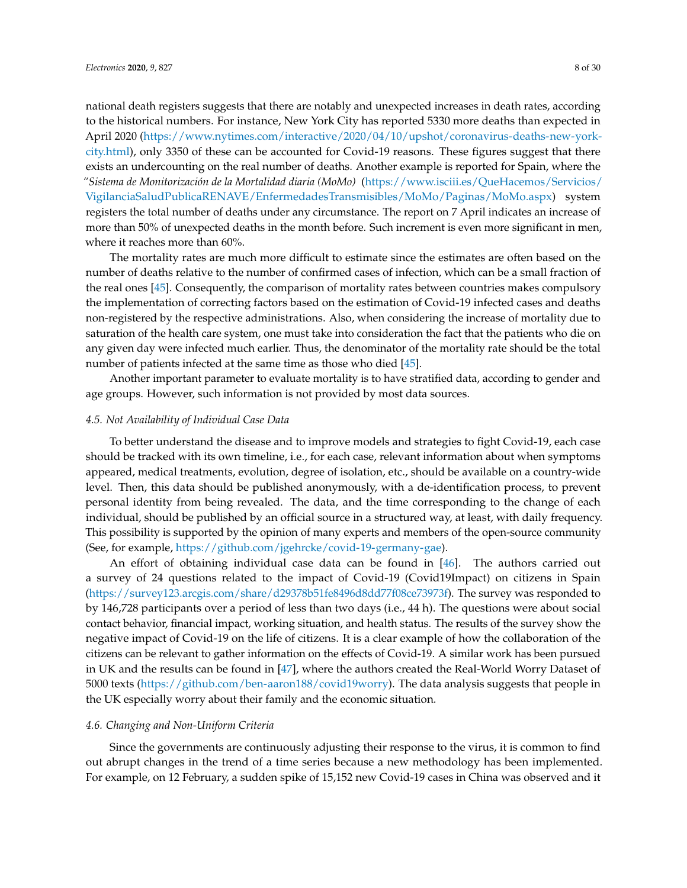national death registers suggests that there are notably and unexpected increases in death rates, according to the historical numbers. For instance, New York City has reported 5330 more deaths than expected in April 2020 [\(https://www.nytimes.com/interactive/2020/04/10/upshot/coronavirus-deaths-new-york](https://www.nytimes.com/interactive/2020/04/10/upshot/coronavirus-deaths-new-york-city.html)[city.html\)](https://www.nytimes.com/interactive/2020/04/10/upshot/coronavirus-deaths-new-york-city.html), only 3350 of these can be accounted for Covid-19 reasons. These figures suggest that there exists an undercounting on the real number of deaths. Another example is reported for Spain, where the *"Sistema de Monitorización de la Mortalidad diaria (MoMo)* [\(https://www.isciii.es/QueHacemos/Servicios/](https://www.isciii.es/QueHacemos/Servicios/VigilanciaSaludPublicaRENAVE/EnfermedadesTransmisibles/MoMo/Paginas/MoMo.aspx) [VigilanciaSaludPublicaRENAVE/EnfermedadesTransmisibles/MoMo/Paginas/MoMo.aspx\)](https://www.isciii.es/QueHacemos/Servicios/VigilanciaSaludPublicaRENAVE/EnfermedadesTransmisibles/MoMo/Paginas/MoMo.aspx) system registers the total number of deaths under any circumstance. The report on 7 April indicates an increase of more than 50% of unexpected deaths in the month before. Such increment is even more significant in men, where it reaches more than 60%.

The mortality rates are much more difficult to estimate since the estimates are often based on the number of deaths relative to the number of confirmed cases of infection, which can be a small fraction of the real ones [45]. Consequently, the comparison of mortality rates between countries makes compulsory the implementation of correcting factors based on the estimation of Covid-19 infected cases and deaths non-registered by the respective administrations. Also, when considering the increase of mortality due to saturation of the health care system, one must take into consideration the fact that the patients who die on any given day were infected much earlier. Thus, the denominator of the mortality rate should be the total number of patients infected at the same time as those who died [45].

Another important parameter to evaluate mortality is to have stratified data, according to gender and age groups. However, such information is not provided by most data sources.

#### *4.5. Not Availability of Individual Case Data*

To better understand the disease and to improve models and strategies to fight Covid-19, each case should be tracked with its own timeline, i.e., for each case, relevant information about when symptoms appeared, medical treatments, evolution, degree of isolation, etc., should be available on a country-wide level. Then, this data should be published anonymously, with a de-identification process, to prevent personal identity from being revealed. The data, and the time corresponding to the change of each individual, should be published by an official source in a structured way, at least, with daily frequency. This possibility is supported by the opinion of many experts and members of the open-source community (See, for example, [https://github.com/jgehrcke/covid-19-germany-gae\)](https://github.com/jgehrcke/covid-19-germany-gae).

An effort of obtaining individual case data can be found in [46]. The authors carried out a survey of 24 questions related to the impact of Covid-19 (Covid19Impact) on citizens in Spain [\(https://survey123.arcgis.com/share/d29378b51fe8496d8dd77f08ce73973f\)](https://survey123.arcgis.com/share/d29378b51fe8496d8dd77f08ce73973f). The survey was responded to by 146,728 participants over a period of less than two days (i.e., 44 h). The questions were about social contact behavior, financial impact, working situation, and health status. The results of the survey show the negative impact of Covid-19 on the life of citizens. It is a clear example of how the collaboration of the citizens can be relevant to gather information on the effects of Covid-19. A similar work has been pursued in UK and the results can be found in [47], where the authors created the Real-World Worry Dataset of 5000 texts [\(https://github.com/ben-aaron188/covid19worry\)](https://github.com/ben-aaron188/covid19worry). The data analysis suggests that people in the UK especially worry about their family and the economic situation.

#### *4.6. Changing and Non-Uniform Criteria*

Since the governments are continuously adjusting their response to the virus, it is common to find out abrupt changes in the trend of a time series because a new methodology has been implemented. For example, on 12 February, a sudden spike of 15,152 new Covid-19 cases in China was observed and it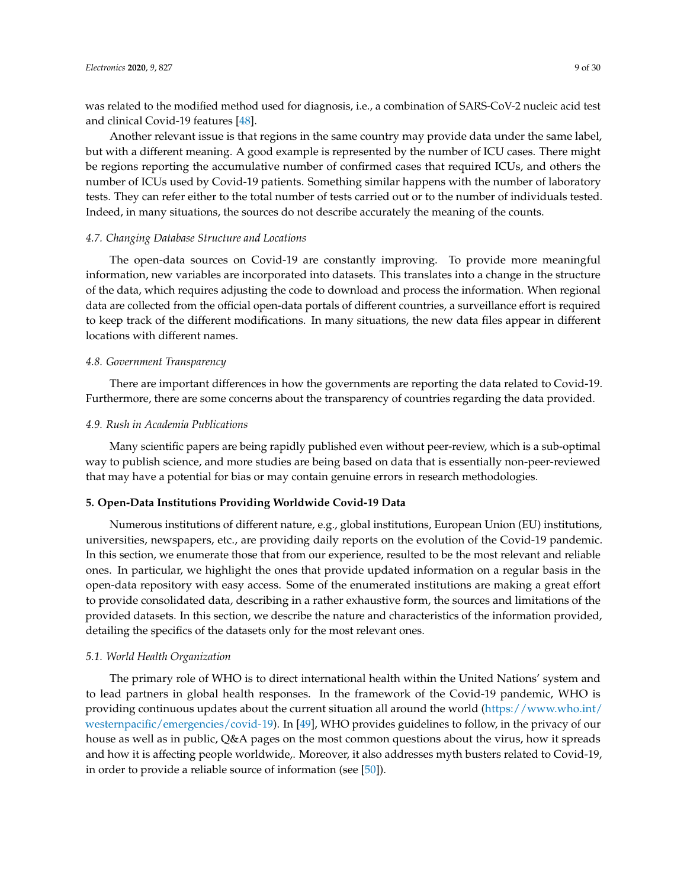was related to the modified method used for diagnosis, i.e., a combination of SARS-CoV-2 nucleic acid test and clinical Covid-19 features [48].

Another relevant issue is that regions in the same country may provide data under the same label, but with a different meaning. A good example is represented by the number of ICU cases. There might be regions reporting the accumulative number of confirmed cases that required ICUs, and others the number of ICUs used by Covid-19 patients. Something similar happens with the number of laboratory tests. They can refer either to the total number of tests carried out or to the number of individuals tested. Indeed, in many situations, the sources do not describe accurately the meaning of the counts.

## *4.7. Changing Database Structure and Locations*

The open-data sources on Covid-19 are constantly improving. To provide more meaningful information, new variables are incorporated into datasets. This translates into a change in the structure of the data, which requires adjusting the code to download and process the information. When regional data are collected from the official open-data portals of different countries, a surveillance effort is required to keep track of the different modifications. In many situations, the new data files appear in different locations with different names.

#### *4.8. Government Transparency*

There are important differences in how the governments are reporting the data related to Covid-19. Furthermore, there are some concerns about the transparency of countries regarding the data provided.

#### *4.9. Rush in Academia Publications*

Many scientific papers are being rapidly published even without peer-review, which is a sub-optimal way to publish science, and more studies are being based on data that is essentially non-peer-reviewed that may have a potential for bias or may contain genuine errors in research methodologies.

#### **5. Open-Data Institutions Providing Worldwide Covid-19 Data**

Numerous institutions of different nature, e.g., global institutions, European Union (EU) institutions, universities, newspapers, etc., are providing daily reports on the evolution of the Covid-19 pandemic. In this section, we enumerate those that from our experience, resulted to be the most relevant and reliable ones. In particular, we highlight the ones that provide updated information on a regular basis in the open-data repository with easy access. Some of the enumerated institutions are making a great effort to provide consolidated data, describing in a rather exhaustive form, the sources and limitations of the provided datasets. In this section, we describe the nature and characteristics of the information provided, detailing the specifics of the datasets only for the most relevant ones.

#### *5.1. World Health Organization*

The primary role of WHO is to direct international health within the United Nations' system and to lead partners in global health responses. In the framework of the Covid-19 pandemic, WHO is providing continuous updates about the current situation all around the world [\(https://www.who.int/](https://www.who.int/westernpacific/emergencies/covid-19) [westernpacific/emergencies/covid-19\)](https://www.who.int/westernpacific/emergencies/covid-19). In [49], WHO provides guidelines to follow, in the privacy of our house as well as in public, Q&A pages on the most common questions about the virus, how it spreads and how it is affecting people worldwide,. Moreover, it also addresses myth busters related to Covid-19, in order to provide a reliable source of information (see [50]).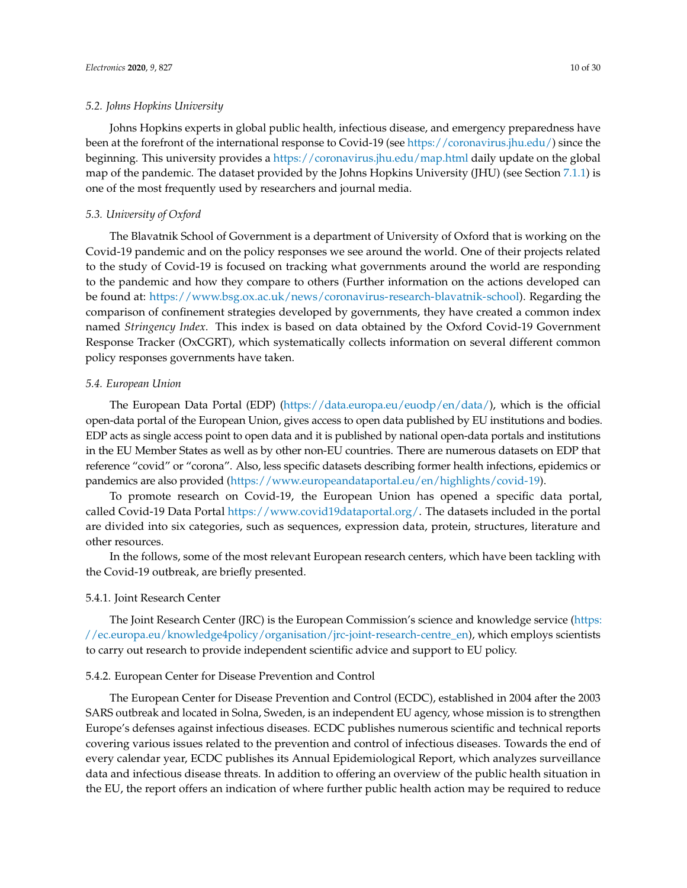#### *5.2. Johns Hopkins University*

Johns Hopkins experts in global public health, infectious disease, and emergency preparedness have been at the forefront of the international response to Covid-19 (see [https://coronavirus.jhu.edu/\)](https://coronavirus.jhu.edu/) since the beginning. This university provides a <https://coronavirus.jhu.edu/map.html> daily update on the global map of the pandemic. The dataset provided by the Johns Hopkins University (JHU) (see Section 7.1.1) is one of the most frequently used by researchers and journal media.

## *5.3. University of Oxford*

The Blavatnik School of Government is a department of University of Oxford that is working on the Covid-19 pandemic and on the policy responses we see around the world. One of their projects related to the study of Covid-19 is focused on tracking what governments around the world are responding to the pandemic and how they compare to others (Further information on the actions developed can be found at: [https://www.bsg.ox.ac.uk/news/coronavirus-research-blavatnik-school\)](https://www.bsg.ox.ac.uk/news/coronavirus-research-blavatnik-school). Regarding the comparison of confinement strategies developed by governments, they have created a common index named *Stringency Index*. This index is based on data obtained by the Oxford Covid-19 Government Response Tracker (OxCGRT), which systematically collects information on several different common policy responses governments have taken.

#### *5.4. European Union*

The European Data Portal (EDP) [\(https://data.europa.eu/euodp/en/data/\)](https://data.europa.eu/euodp/en/data/), which is the official open-data portal of the European Union, gives access to open data published by EU institutions and bodies. EDP acts as single access point to open data and it is published by national open-data portals and institutions in the EU Member States as well as by other non-EU countries. There are numerous datasets on EDP that reference "covid" or "corona". Also, less specific datasets describing former health infections, epidemics or pandemics are also provided [\(https://www.europeandataportal.eu/en/highlights/covid-19\)](https://www.europeandataportal.eu/en/highlights/covid-19).

To promote research on Covid-19, the European Union has opened a specific data portal, called Covid-19 Data Portal [https://www.covid19dataportal.org/.](https://www.covid19dataportal.org/) The datasets included in the portal are divided into six categories, such as sequences, expression data, protein, structures, literature and other resources.

In the follows, some of the most relevant European research centers, which have been tackling with the Covid-19 outbreak, are briefly presented.

## 5.4.1. Joint Research Center

The Joint Research Center (JRC) is the European Commission's science and knowledge service [\(https:](https://ec.europa.eu/knowledge4policy/organisation/jrc-joint-research-centre_en) [//ec.europa.eu/knowledge4policy/organisation/jrc-joint-research-centre\\_en\)](https://ec.europa.eu/knowledge4policy/organisation/jrc-joint-research-centre_en), which employs scientists to carry out research to provide independent scientific advice and support to EU policy.

## 5.4.2. European Center for Disease Prevention and Control

The European Center for Disease Prevention and Control (ECDC), established in 2004 after the 2003 SARS outbreak and located in Solna, Sweden, is an independent EU agency, whose mission is to strengthen Europe's defenses against infectious diseases. ECDC publishes numerous scientific and technical reports covering various issues related to the prevention and control of infectious diseases. Towards the end of every calendar year, ECDC publishes its Annual Epidemiological Report, which analyzes surveillance data and infectious disease threats. In addition to offering an overview of the public health situation in the EU, the report offers an indication of where further public health action may be required to reduce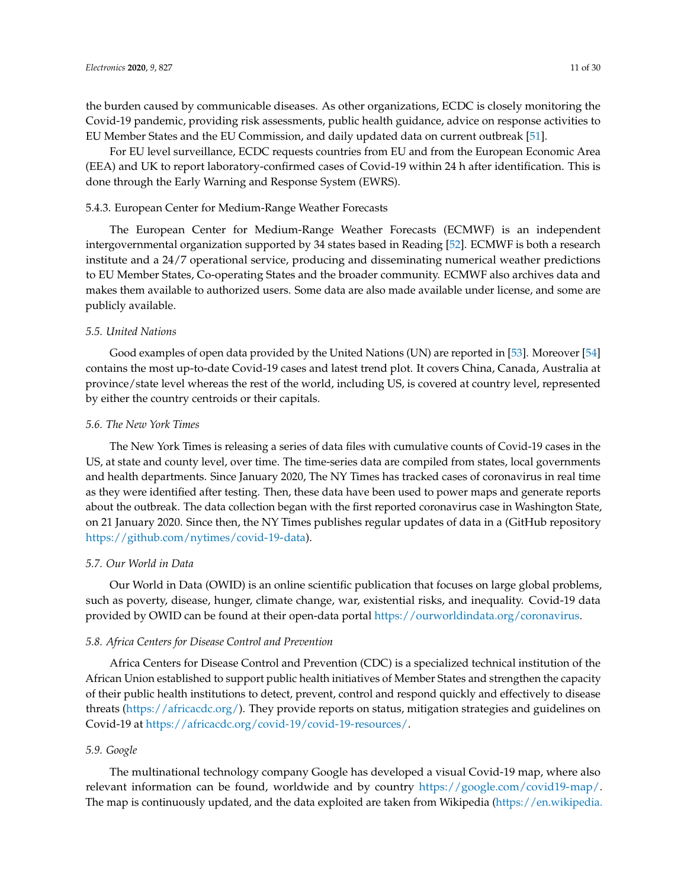the burden caused by communicable diseases. As other organizations, ECDC is closely monitoring the Covid-19 pandemic, providing risk assessments, public health guidance, advice on response activities to EU Member States and the EU Commission, and daily updated data on current outbreak [51].

For EU level surveillance, ECDC requests countries from EU and from the European Economic Area (EEA) and UK to report laboratory-confirmed cases of Covid-19 within 24 h after identification. This is done through the Early Warning and Response System (EWRS).

## 5.4.3. European Center for Medium-Range Weather Forecasts

The European Center for Medium-Range Weather Forecasts (ECMWF) is an independent intergovernmental organization supported by 34 states based in Reading [52]. ECMWF is both a research institute and a 24/7 operational service, producing and disseminating numerical weather predictions to EU Member States, Co-operating States and the broader community. ECMWF also archives data and makes them available to authorized users. Some data are also made available under license, and some are publicly available.

## *5.5. United Nations*

Good examples of open data provided by the United Nations (UN) are reported in [53]. Moreover [54] contains the most up-to-date Covid-19 cases and latest trend plot. It covers China, Canada, Australia at province/state level whereas the rest of the world, including US, is covered at country level, represented by either the country centroids or their capitals.

## *5.6. The New York Times*

The New York Times is releasing a series of data files with cumulative counts of Covid-19 cases in the US, at state and county level, over time. The time-series data are compiled from states, local governments and health departments. Since January 2020, The NY Times has tracked cases of coronavirus in real time as they were identified after testing. Then, these data have been used to power maps and generate reports about the outbreak. The data collection began with the first reported coronavirus case in Washington State, on 21 January 2020. Since then, the NY Times publishes regular updates of data in a (GitHub repository [https://github.com/nytimes/covid-19-data\)](https://github.com/nytimes/covid-19-data).

## *5.7. Our World in Data*

Our World in Data (OWID) is an online scientific publication that focuses on large global problems, such as poverty, disease, hunger, climate change, war, existential risks, and inequality. Covid-19 data provided by OWID can be found at their open-data portal [https://ourworldindata.org/coronavirus.](https://ourworldindata.org/coronavirus)

## *5.8. Africa Centers for Disease Control and Prevention*

Africa Centers for Disease Control and Prevention (CDC) is a specialized technical institution of the African Union established to support public health initiatives of Member States and strengthen the capacity of their public health institutions to detect, prevent, control and respond quickly and effectively to disease threats [\(https://africacdc.org/\)](https://africacdc.org/). They provide reports on status, mitigation strategies and guidelines on Covid-19 at [https://africacdc.org/covid-19/covid-19-resources/.](https://africacdc.org/covid-19/covid-19-resources/)

#### *5.9. Google*

The multinational technology company Google has developed a visual Covid-19 map, where also relevant information can be found, worldwide and by country [https://google.com/covid19-map/.](https://google.com/covid19-map/) The map is continuously updated, and the data exploited are taken from Wikipedia [\(https://en.wikipedia.](https://en.wikipedia.org/wiki/Template:2019%E2%80%9320_coronavirus_pandemic_data)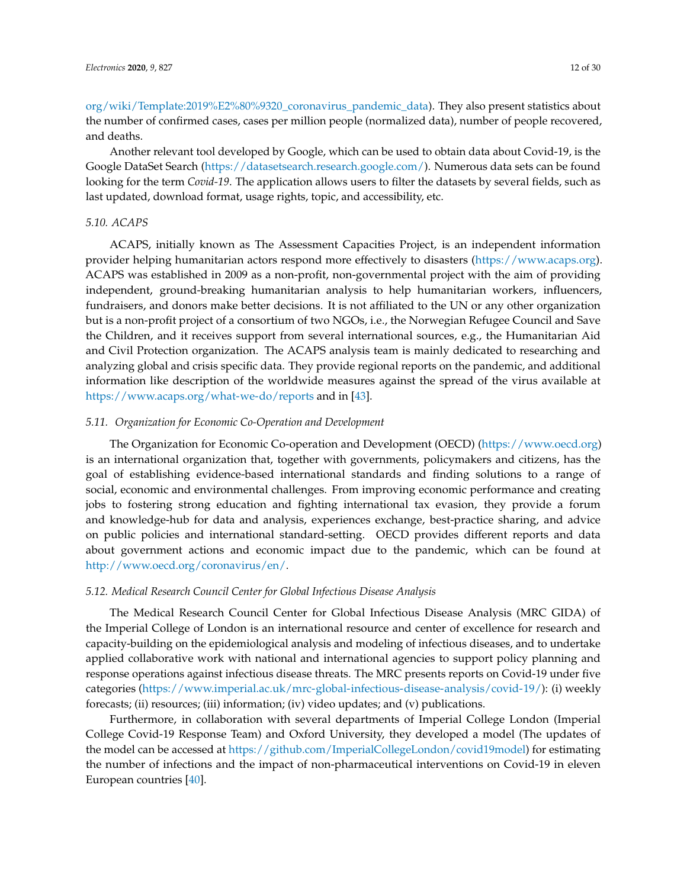[org/wiki/Template:2019%E2%80%9320\\_coronavirus\\_pandemic\\_data\)](https://en.wikipedia.org/wiki/Template:2019%E2%80%9320_coronavirus_pandemic_data). They also present statistics about the number of confirmed cases, cases per million people (normalized data), number of people recovered, and deaths.

Another relevant tool developed by Google, which can be used to obtain data about Covid-19, is the Google DataSet Search [\(https://datasetsearch.research.google.com/\)](https://datasetsearch.research.google.com/). Numerous data sets can be found looking for the term *Covid-19*. The application allows users to filter the datasets by several fields, such as last updated, download format, usage rights, topic, and accessibility, etc.

## *5.10. ACAPS*

ACAPS, initially known as The Assessment Capacities Project, is an independent information provider helping humanitarian actors respond more effectively to disasters [\(https://www.acaps.org\)](https://www.acaps.org). ACAPS was established in 2009 as a non-profit, non-governmental project with the aim of providing independent, ground-breaking humanitarian analysis to help humanitarian workers, influencers, fundraisers, and donors make better decisions. It is not affiliated to the UN or any other organization but is a non-profit project of a consortium of two NGOs, i.e., the Norwegian Refugee Council and Save the Children, and it receives support from several international sources, e.g., the Humanitarian Aid and Civil Protection organization. The ACAPS analysis team is mainly dedicated to researching and analyzing global and crisis specific data. They provide regional reports on the pandemic, and additional information like description of the worldwide measures against the spread of the virus available at <https://www.acaps.org/what-we-do/reports> and in [43].

#### *5.11. Organization for Economic Co-Operation and Development*

The Organization for Economic Co-operation and Development (OECD) [\(https://www.oecd.org\)](https://www.oecd.org) is an international organization that, together with governments, policymakers and citizens, has the goal of establishing evidence-based international standards and finding solutions to a range of social, economic and environmental challenges. From improving economic performance and creating jobs to fostering strong education and fighting international tax evasion, they provide a forum and knowledge-hub for data and analysis, experiences exchange, best-practice sharing, and advice on public policies and international standard-setting. OECD provides different reports and data about government actions and economic impact due to the pandemic, which can be found at [http://www.oecd.org/coronavirus/en/.](http://www.oecd.org/coronavirus/en/)

## *5.12. Medical Research Council Center for Global Infectious Disease Analysis*

The Medical Research Council Center for Global Infectious Disease Analysis (MRC GIDA) of the Imperial College of London is an international resource and center of excellence for research and capacity-building on the epidemiological analysis and modeling of infectious diseases, and to undertake applied collaborative work with national and international agencies to support policy planning and response operations against infectious disease threats. The MRC presents reports on Covid-19 under five categories [\(https://www.imperial.ac.uk/mrc-global-infectious-disease-analysis/covid-19/\)](https://www.imperial.ac.uk/mrc-global-infectious-disease-analysis/covid-19/): (i) weekly forecasts; (ii) resources; (iii) information; (iv) video updates; and (v) publications.

Furthermore, in collaboration with several departments of Imperial College London (Imperial College Covid-19 Response Team) and Oxford University, they developed a model (The updates of the model can be accessed at [https://github.com/ImperialCollegeLondon/covid19model\)](https://github.com/ImperialCollegeLondon/covid19model) for estimating the number of infections and the impact of non-pharmaceutical interventions on Covid-19 in eleven European countries [40].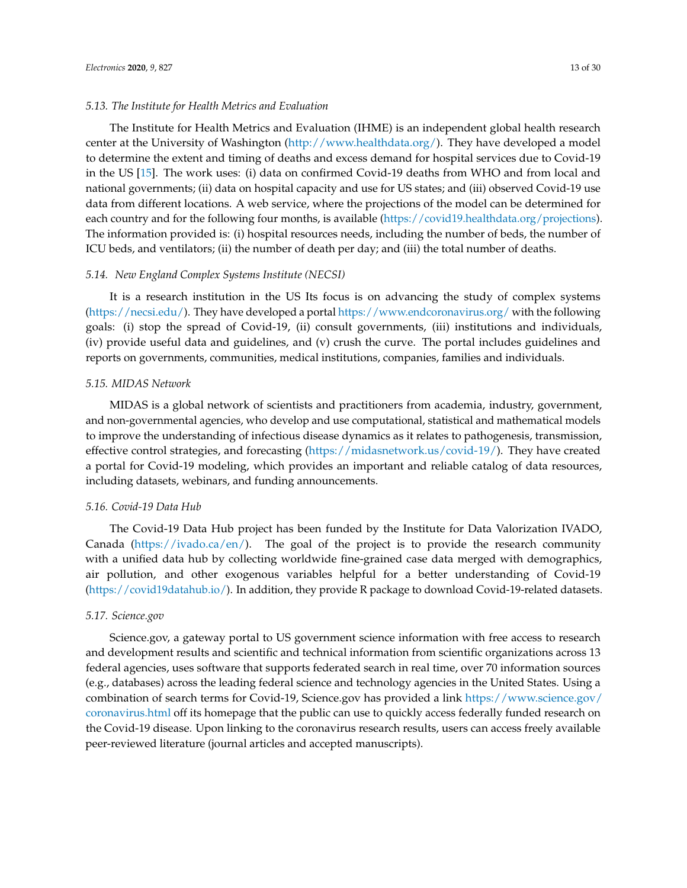#### *5.13. The Institute for Health Metrics and Evaluation*

The Institute for Health Metrics and Evaluation (IHME) is an independent global health research center at the University of Washington [\(http://www.healthdata.org/\)](http://www.healthdata.org/). They have developed a model to determine the extent and timing of deaths and excess demand for hospital services due to Covid-19 in the US [15]. The work uses: (i) data on confirmed Covid-19 deaths from WHO and from local and national governments; (ii) data on hospital capacity and use for US states; and (iii) observed Covid-19 use data from different locations. A web service, where the projections of the model can be determined for each country and for the following four months, is available [\(https://covid19.healthdata.org/projections\)](https://covid19.healthdata.org/projections). The information provided is: (i) hospital resources needs, including the number of beds, the number of ICU beds, and ventilators; (ii) the number of death per day; and (iii) the total number of deaths.

#### *5.14. New England Complex Systems Institute (NECSI)*

It is a research institution in the US Its focus is on advancing the study of complex systems [\(https://necsi.edu/\)](https://necsi.edu/). They have developed a portal <https://www.endcoronavirus.org/> with the following goals: (i) stop the spread of Covid-19, (ii) consult governments, (iii) institutions and individuals, (iv) provide useful data and guidelines, and (v) crush the curve. The portal includes guidelines and reports on governments, communities, medical institutions, companies, families and individuals.

## *5.15. MIDAS Network*

MIDAS is a global network of scientists and practitioners from academia, industry, government, and non-governmental agencies, who develop and use computational, statistical and mathematical models to improve the understanding of infectious disease dynamics as it relates to pathogenesis, transmission, effective control strategies, and forecasting [\(https://midasnetwork.us/covid-19/\)](https://midasnetwork.us/covid-19/). They have created a portal for Covid-19 modeling, which provides an important and reliable catalog of data resources, including datasets, webinars, and funding announcements.

## *5.16. Covid-19 Data Hub*

The Covid-19 Data Hub project has been funded by the Institute for Data Valorization IVADO, Canada [\(https://ivado.ca/en/\)](https://ivado.ca/en/). The goal of the project is to provide the research community with a unified data hub by collecting worldwide fine-grained case data merged with demographics, air pollution, and other exogenous variables helpful for a better understanding of Covid-19 [\(https://covid19datahub.io/\)](https://covid19datahub.io/). In addition, they provide R package to download Covid-19-related datasets.

## *5.17. Science.gov*

Science.gov, a gateway portal to US government science information with free access to research and development results and scientific and technical information from scientific organizations across 13 federal agencies, uses software that supports federated search in real time, over 70 information sources (e.g., databases) across the leading federal science and technology agencies in the United States. Using a combination of search terms for Covid-19, Science.gov has provided a link [https://www.science.gov/](https://www.science.gov/coronavirus.html) [coronavirus.html](https://www.science.gov/coronavirus.html) off its homepage that the public can use to quickly access federally funded research on the Covid-19 disease. Upon linking to the coronavirus research results, users can access freely available peer-reviewed literature (journal articles and accepted manuscripts).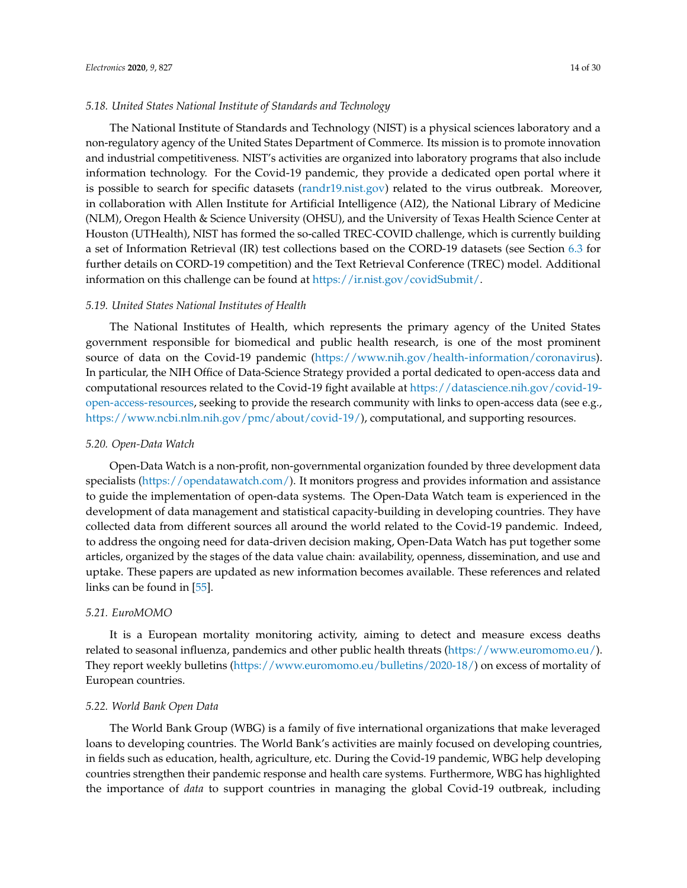#### *5.18. United States National Institute of Standards and Technology*

The National Institute of Standards and Technology (NIST) is a physical sciences laboratory and a non-regulatory agency of the United States Department of Commerce. Its mission is to promote innovation and industrial competitiveness. NIST's activities are organized into laboratory programs that also include information technology. For the Covid-19 pandemic, they provide a dedicated open portal where it is possible to search for specific datasets [\(randr19.nist.gov\)](randr19.nist.gov) related to the virus outbreak. Moreover, in collaboration with Allen Institute for Artificial Intelligence (AI2), the National Library of Medicine (NLM), Oregon Health & Science University (OHSU), and the University of Texas Health Science Center at Houston (UTHealth), NIST has formed the so-called TREC-COVID challenge, which is currently building a set of Information Retrieval (IR) test collections based on the CORD-19 datasets (see Section 6.3 for further details on CORD-19 competition) and the Text Retrieval Conference (TREC) model. Additional information on this challenge can be found at [https://ir.nist.gov/covidSubmit/.](https://ir.nist.gov/covidSubmit/)

#### *5.19. United States National Institutes of Health*

The National Institutes of Health, which represents the primary agency of the United States government responsible for biomedical and public health research, is one of the most prominent source of data on the Covid-19 pandemic [\(https://www.nih.gov/health-information/coronavirus\)](https://www.nih.gov/health-information/coronavirus). In particular, the NIH Office of Data-Science Strategy provided a portal dedicated to open-access data and computational resources related to the Covid-19 fight available at [https://datascience.nih.gov/covid-19](https://datascience.nih.gov/covid-19-open-access-resources) [open-access-resources,](https://datascience.nih.gov/covid-19-open-access-resources) seeking to provide the research community with links to open-access data (see e.g., [https://www.ncbi.nlm.nih.gov/pmc/about/covid-19/\)](https://www.ncbi.nlm.nih.gov/pmc/about/covid-19/), computational, and supporting resources.

#### *5.20. Open-Data Watch*

Open-Data Watch is a non-profit, non-governmental organization founded by three development data specialists [\(https://opendatawatch.com/\)](https://opendatawatch.com/). It monitors progress and provides information and assistance to guide the implementation of open-data systems. The Open-Data Watch team is experienced in the development of data management and statistical capacity-building in developing countries. They have collected data from different sources all around the world related to the Covid-19 pandemic. Indeed, to address the ongoing need for data-driven decision making, Open-Data Watch has put together some articles, organized by the stages of the data value chain: availability, openness, dissemination, and use and uptake. These papers are updated as new information becomes available. These references and related links can be found in [55].

#### *5.21. EuroMOMO*

It is a European mortality monitoring activity, aiming to detect and measure excess deaths related to seasonal influenza, pandemics and other public health threats [\(https://www.euromomo.eu/\)](https://www.euromomo.eu/). They report weekly bulletins [\(https://www.euromomo.eu/bulletins/2020-18/\)](https://www.euromomo.eu/bulletins/2020-18/) on excess of mortality of European countries.

#### *5.22. World Bank Open Data*

The World Bank Group (WBG) is a family of five international organizations that make leveraged loans to developing countries. The World Bank's activities are mainly focused on developing countries, in fields such as education, health, agriculture, etc. During the Covid-19 pandemic, WBG help developing countries strengthen their pandemic response and health care systems. Furthermore, WBG has highlighted the importance of *data* to support countries in managing the global Covid-19 outbreak, including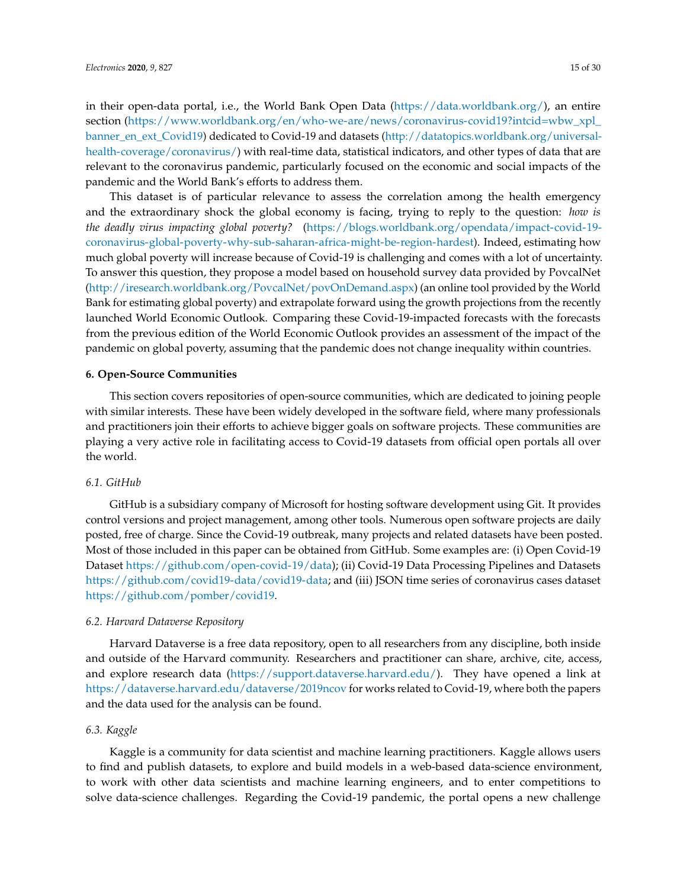in their open-data portal, i.e., the World Bank Open Data [\(https://data.worldbank.org/\)](https://data.worldbank.org/), an entire section [\(https://www.worldbank.org/en/who-we-are/news/coronavirus-covid19?intcid=wbw\\_xpl\\_](https://www.worldbank.org/en/who-we-are/news/coronavirus-covid19?intcid=wbw_xpl_banner_en_ext_Covid19) [banner\\_en\\_ext\\_Covid19\)](https://www.worldbank.org/en/who-we-are/news/coronavirus-covid19?intcid=wbw_xpl_banner_en_ext_Covid19) dedicated to Covid-19 and datasets [\(http://datatopics.worldbank.org/universal](http://datatopics.worldbank.org/universal-health-coverage/coronavirus/)[health-coverage/coronavirus/\)](http://datatopics.worldbank.org/universal-health-coverage/coronavirus/) with real-time data, statistical indicators, and other types of data that are relevant to the coronavirus pandemic, particularly focused on the economic and social impacts of the pandemic and the World Bank's efforts to address them.

This dataset is of particular relevance to assess the correlation among the health emergency and the extraordinary shock the global economy is facing, trying to reply to the question: *how is the deadly virus impacting global poverty?* [\(https://blogs.worldbank.org/opendata/impact-covid-19](https://blogs.worldbank.org/opendata/impact-covid-19-coronavirus-global-poverty-why-sub-saharan-africa-might-be-region-hardest) [coronavirus-global-poverty-why-sub-saharan-africa-might-be-region-hardest\)](https://blogs.worldbank.org/opendata/impact-covid-19-coronavirus-global-poverty-why-sub-saharan-africa-might-be-region-hardest). Indeed, estimating how much global poverty will increase because of Covid-19 is challenging and comes with a lot of uncertainty. To answer this question, they propose a model based on household survey data provided by PovcalNet [\(http://iresearch.worldbank.org/PovcalNet/povOnDemand.aspx\)](http://iresearch.worldbank.org/PovcalNet/povOnDemand.aspx) (an online tool provided by the World Bank for estimating global poverty) and extrapolate forward using the growth projections from the recently launched World Economic Outlook. Comparing these Covid-19-impacted forecasts with the forecasts from the previous edition of the World Economic Outlook provides an assessment of the impact of the pandemic on global poverty, assuming that the pandemic does not change inequality within countries.

#### **6. Open-Source Communities**

This section covers repositories of open-source communities, which are dedicated to joining people with similar interests. These have been widely developed in the software field, where many professionals and practitioners join their efforts to achieve bigger goals on software projects. These communities are playing a very active role in facilitating access to Covid-19 datasets from official open portals all over the world.

#### *6.1. GitHub*

GitHub is a subsidiary company of Microsoft for hosting software development using Git. It provides control versions and project management, among other tools. Numerous open software projects are daily posted, free of charge. Since the Covid-19 outbreak, many projects and related datasets have been posted. Most of those included in this paper can be obtained from GitHub. Some examples are: (i) Open Covid-19 Dataset [https://github.com/open-covid-19/data\)](https://github.com/open-covid-19/data); (ii) Covid-19 Data Processing Pipelines and Datasets [https://github.com/covid19-data/covid19-data;](https://github.com/covid19-data/covid19-data) and (iii) JSON time series of coronavirus cases dataset [https://github.com/pomber/covid19.](https://github.com/pomber/covid19)

## *6.2. Harvard Dataverse Repository*

Harvard Dataverse is a free data repository, open to all researchers from any discipline, both inside and outside of the Harvard community. Researchers and practitioner can share, archive, cite, access, and explore research data [\(https://support.dataverse.harvard.edu/\)](https://support.dataverse.harvard.edu/). They have opened a link at <https://dataverse.harvard.edu/dataverse/2019ncov> for works related to Covid-19, where both the papers and the data used for the analysis can be found.

#### *6.3. Kaggle*

Kaggle is a community for data scientist and machine learning practitioners. Kaggle allows users to find and publish datasets, to explore and build models in a web-based data-science environment, to work with other data scientists and machine learning engineers, and to enter competitions to solve data-science challenges. Regarding the Covid-19 pandemic, the portal opens a new challenge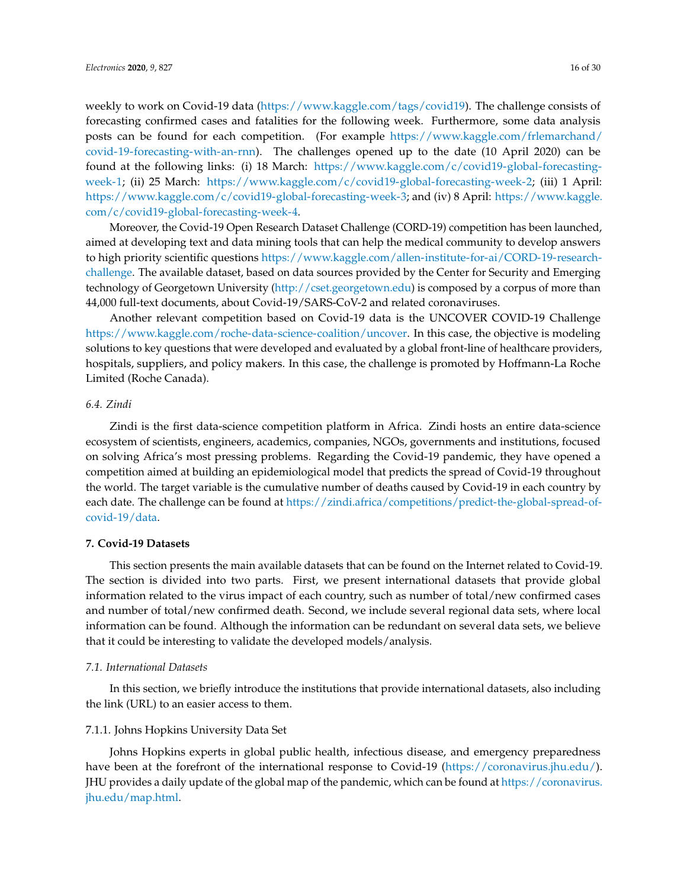weekly to work on Covid-19 data [\(https://www.kaggle.com/tags/covid19\)](https://www.kaggle.com/tags/covid19). The challenge consists of forecasting confirmed cases and fatalities for the following week. Furthermore, some data analysis posts can be found for each competition. (For example [https://www.kaggle.com/frlemarchand/](https://www.kaggle.com/frlemarchand/covid-19-forecasting-with-an-rnn) [covid-19-forecasting-with-an-rnn\)](https://www.kaggle.com/frlemarchand/covid-19-forecasting-with-an-rnn). The challenges opened up to the date (10 April 2020) can be found at the following links: (i) 18 March: [https://www.kaggle.com/c/covid19-global-forecasting](https://www.kaggle.com/c/covid19-global-forecasting-week-1)[week-1;](https://www.kaggle.com/c/covid19-global-forecasting-week-1) (ii) 25 March: [https://www.kaggle.com/c/covid19-global-forecasting-week-2;](https://www.kaggle.com/c/covid19-global-forecasting-week-2) (iii) 1 April: [https://www.kaggle.com/c/covid19-global-forecasting-week-3;](https://www.kaggle.com/c/covid19-global-forecasting-week-3) and (iv) 8 April: [https://www.kaggle.](https://www.kaggle.com/c/covid19-global-forecasting-week-4) [com/c/covid19-global-forecasting-week-4.](https://www.kaggle.com/c/covid19-global-forecasting-week-4)

Moreover, the Covid-19 Open Research Dataset Challenge (CORD-19) competition has been launched, aimed at developing text and data mining tools that can help the medical community to develop answers to high priority scientific questions [https://www.kaggle.com/allen-institute-for-ai/CORD-19-research](https://www.kaggle.com/allen-institute-for-ai/CORD-19-research-challenge)[challenge.](https://www.kaggle.com/allen-institute-for-ai/CORD-19-research-challenge) The available dataset, based on data sources provided by the Center for Security and Emerging technology of Georgetown University [\(http://cset.georgetown.edu\)](http://cset.georgetown.edu) is composed by a corpus of more than 44,000 full-text documents, about Covid-19/SARS-CoV-2 and related coronaviruses.

Another relevant competition based on Covid-19 data is the UNCOVER COVID-19 Challenge [https://www.kaggle.com/roche-data-science-coalition/uncover.](https://www.kaggle.com/roche-data-science-coalition/uncover) In this case, the objective is modeling solutions to key questions that were developed and evaluated by a global front-line of healthcare providers, hospitals, suppliers, and policy makers. In this case, the challenge is promoted by Hoffmann-La Roche Limited (Roche Canada).

## *6.4. Zindi*

Zindi is the first data-science competition platform in Africa. Zindi hosts an entire data-science ecosystem of scientists, engineers, academics, companies, NGOs, governments and institutions, focused on solving Africa's most pressing problems. Regarding the Covid-19 pandemic, they have opened a competition aimed at building an epidemiological model that predicts the spread of Covid-19 throughout the world. The target variable is the cumulative number of deaths caused by Covid-19 in each country by each date. The challenge can be found at [https://zindi.africa/competitions/predict-the-global-spread-of](https://zindi.africa/competitions/predict-the-global-spread-of-covid-19/data)[covid-19/data.](https://zindi.africa/competitions/predict-the-global-spread-of-covid-19/data)

#### **7. Covid-19 Datasets**

This section presents the main available datasets that can be found on the Internet related to Covid-19. The section is divided into two parts. First, we present international datasets that provide global information related to the virus impact of each country, such as number of total/new confirmed cases and number of total/new confirmed death. Second, we include several regional data sets, where local information can be found. Although the information can be redundant on several data sets, we believe that it could be interesting to validate the developed models/analysis.

#### *7.1. International Datasets*

In this section, we briefly introduce the institutions that provide international datasets, also including the link (URL) to an easier access to them.

#### 7.1.1. Johns Hopkins University Data Set

Johns Hopkins experts in global public health, infectious disease, and emergency preparedness have been at the forefront of the international response to Covid-19 [\(https://coronavirus.jhu.edu/\)](https://coronavirus.jhu.edu/). JHU provides a daily update of the global map of the pandemic, which can be found at [https://coronavirus.](https://coronavirus.jhu.edu/map.html) [jhu.edu/map.html.](https://coronavirus.jhu.edu/map.html)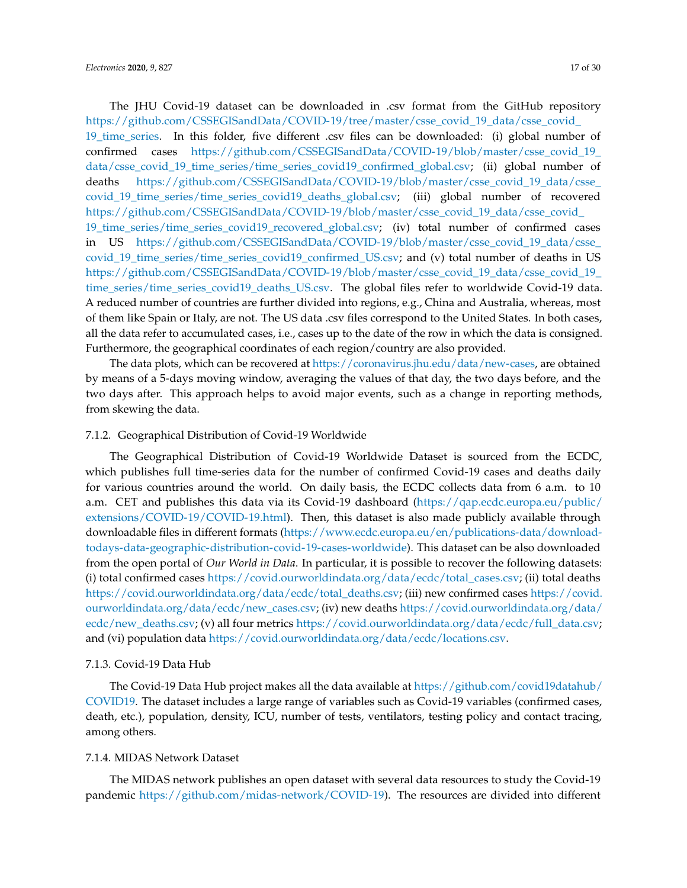The JHU Covid-19 dataset can be downloaded in .csv format from the GitHub repository [https://github.com/CSSEGISandData/COVID-19/tree/master/csse\\_covid\\_19\\_data/csse\\_covid\\_](https://github.com/CSSEGISandData/COVID-19/tree/master/csse_covid_19_data/csse_covid_19_time_series) [19\\_time\\_series.](https://github.com/CSSEGISandData/COVID-19/tree/master/csse_covid_19_data/csse_covid_19_time_series) In this folder, five different .csv files can be downloaded: (i) global number of confirmed cases [https://github.com/CSSEGISandData/COVID-19/blob/master/csse\\_covid\\_19\\_](https://github.com/CSSEGISandData/COVID-19/blob/master/csse_covid_19_data/csse_covid_19_time_series/time_series_covid19_confirmed_global.csv) [data/csse\\_covid\\_19\\_time\\_series/time\\_series\\_covid19\\_confirmed\\_global.csv;](https://github.com/CSSEGISandData/COVID-19/blob/master/csse_covid_19_data/csse_covid_19_time_series/time_series_covid19_confirmed_global.csv) (ii) global number of deaths [https://github.com/CSSEGISandData/COVID-19/blob/master/csse\\_covid\\_19\\_data/csse\\_](https://github.com/CSSEGISandData/COVID-19/blob/master/csse_covid_19_data/csse_covid_19_time_series/time_series_covid19_deaths_global.csv) [covid\\_19\\_time\\_series/time\\_series\\_covid19\\_deaths\\_global.csv;](https://github.com/CSSEGISandData/COVID-19/blob/master/csse_covid_19_data/csse_covid_19_time_series/time_series_covid19_deaths_global.csv) (iii) global number of recovered [https://github.com/CSSEGISandData/COVID-19/blob/master/csse\\_covid\\_19\\_data/csse\\_covid\\_](https://github.com/CSSEGISandData/COVID-19/blob/master/csse_covid_19_data/csse_covid_19_time_series/time_series_covid19_recovered_global.csv) [19\\_time\\_series/time\\_series\\_covid19\\_recovered\\_global.csv;](https://github.com/CSSEGISandData/COVID-19/blob/master/csse_covid_19_data/csse_covid_19_time_series/time_series_covid19_recovered_global.csv) (iv) total number of confirmed cases in US [https://github.com/CSSEGISandData/COVID-19/blob/master/csse\\_covid\\_19\\_data/csse\\_](https://github.com/CSSEGISandData/COVID-19/blob/master/csse_covid_19_data/csse_covid_19_time_series/time_series_covid19_confirmed_US.csv) [covid\\_19\\_time\\_series/time\\_series\\_covid19\\_confirmed\\_US.csv;](https://github.com/CSSEGISandData/COVID-19/blob/master/csse_covid_19_data/csse_covid_19_time_series/time_series_covid19_confirmed_US.csv) and (v) total number of deaths in US [https://github.com/CSSEGISandData/COVID-19/blob/master/csse\\_covid\\_19\\_data/csse\\_covid\\_19\\_](https://github.com/CSSEGISandData/COVID-19/blob/master/csse_covid_19_data/csse_covid_19_time_series/time_series_covid19_deaths_US.csv) [time\\_series/time\\_series\\_covid19\\_deaths\\_US.csv.](https://github.com/CSSEGISandData/COVID-19/blob/master/csse_covid_19_data/csse_covid_19_time_series/time_series_covid19_deaths_US.csv) The global files refer to worldwide Covid-19 data. A reduced number of countries are further divided into regions, e.g., China and Australia, whereas, most of them like Spain or Italy, are not. The US data .csv files correspond to the United States. In both cases, all the data refer to accumulated cases, i.e., cases up to the date of the row in which the data is consigned. Furthermore, the geographical coordinates of each region/country are also provided.

The data plots, which can be recovered at [https://coronavirus.jhu.edu/data/new-cases,](https://coronavirus.jhu.edu/data/new-cases) are obtained by means of a 5-days moving window, averaging the values of that day, the two days before, and the two days after. This approach helps to avoid major events, such as a change in reporting methods, from skewing the data.

#### 7.1.2. Geographical Distribution of Covid-19 Worldwide

The Geographical Distribution of Covid-19 Worldwide Dataset is sourced from the ECDC, which publishes full time-series data for the number of confirmed Covid-19 cases and deaths daily for various countries around the world. On daily basis, the ECDC collects data from 6 a.m. to 10 a.m. CET and publishes this data via its Covid-19 dashboard [\(https://qap.ecdc.europa.eu/public/](https://qap.ecdc.europa.eu/public/extensions/COVID-19/COVID-19.html) [extensions/COVID-19/COVID-19.html\)](https://qap.ecdc.europa.eu/public/extensions/COVID-19/COVID-19.html). Then, this dataset is also made publicly available through downloadable files in different formats [\(https://www.ecdc.europa.eu/en/publications-data/download](https://www.ecdc.europa.eu/en/publications-data/download-todays-data-geographic-distribution-covid-19-cases-worldwide)[todays-data-geographic-distribution-covid-19-cases-worldwide\)](https://www.ecdc.europa.eu/en/publications-data/download-todays-data-geographic-distribution-covid-19-cases-worldwide). This dataset can be also downloaded from the open portal of *Our World in Data*. In particular, it is possible to recover the following datasets: (i) total confirmed cases [https://covid.ourworldindata.org/data/ecdc/total\\_cases.csv;](https://covid.ourworldindata.org/data/ecdc/total_cases.csv) (ii) total deaths [https://covid.ourworldindata.org/data/ecdc/total\\_deaths.csv;](https://covid.ourworldindata.org/data/ecdc/total_deaths.csv) (iii) new confirmed cases [https://covid.](https://covid.ourworldindata.org/data/ecdc/new_cases.csv) [ourworldindata.org/data/ecdc/new\\_cases.csv;](https://covid.ourworldindata.org/data/ecdc/new_cases.csv) (iv) new deaths [https://covid.ourworldindata.org/data/](https://covid.ourworldindata.org/data/ecdc/new_deaths.csv) [ecdc/new\\_deaths.csv;](https://covid.ourworldindata.org/data/ecdc/new_deaths.csv) (v) all four metrics [https://covid.ourworldindata.org/data/ecdc/full\\_data.csv;](https://covid.ourworldindata.org/data/ecdc/full_data.csv) and (vi) population data [https://covid.ourworldindata.org/data/ecdc/locations.csv.](https://covid.ourworldindata.org/data/ecdc/locations.csv)

## 7.1.3. Covid-19 Data Hub

The Covid-19 Data Hub project makes all the data available at [https://github.com/covid19datahub/](https://github.com/covid19datahub/COVID19) [COVID19.](https://github.com/covid19datahub/COVID19) The dataset includes a large range of variables such as Covid-19 variables (confirmed cases, death, etc.), population, density, ICU, number of tests, ventilators, testing policy and contact tracing, among others.

## 7.1.4. MIDAS Network Dataset

The MIDAS network publishes an open dataset with several data resources to study the Covid-19 pandemic [https://github.com/midas-network/COVID-19\)](https://github.com/midas-network/COVID-19). The resources are divided into different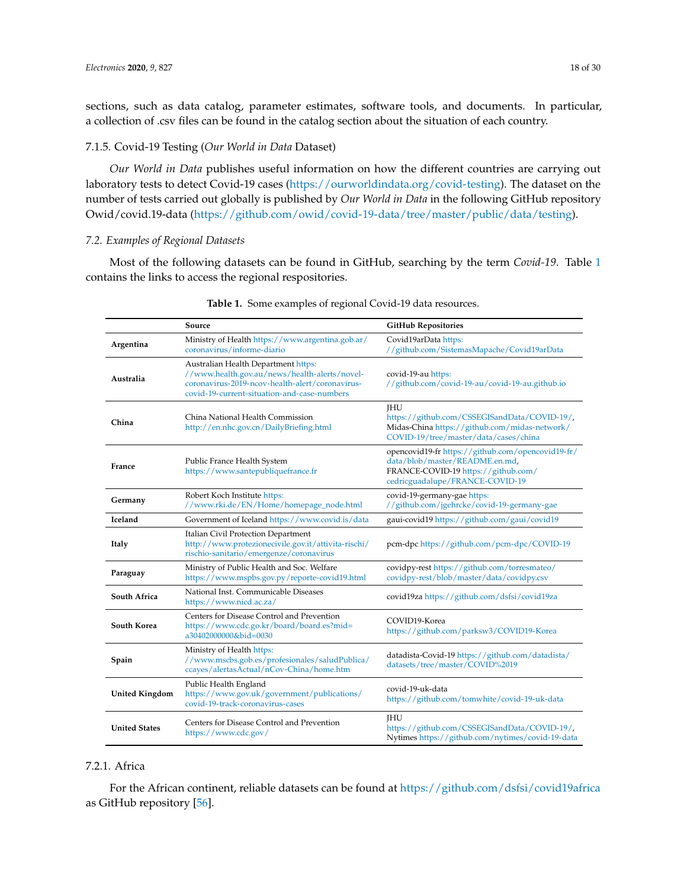sections, such as data catalog, parameter estimates, software tools, and documents. In particular, a collection of .csv files can be found in the catalog section about the situation of each country.

## 7.1.5. Covid-19 Testing (*Our World in Data* Dataset)

*Our World in Data* publishes useful information on how the different countries are carrying out laboratory tests to detect Covid-19 cases [\(https://ourworldindata.org/covid-testing\)](https://ourworldindata.org/covid-testing). The dataset on the number of tests carried out globally is published by *Our World in Data* in the following GitHub repository Owid/covid.19-data [\(https://github.com/owid/covid-19-data/tree/master/public/data/testing\)](https://github.com/owid/covid-19-data/tree/master/public/data/testing).

## *7.2. Examples of Regional Datasets*

Most of the following datasets can be found in GitHub, searching by the term *Covid-19*. Table 1 contains the links to access the regional respositories.

|                       | Source                                                                                                                                                                                 | <b>GitHub Repositories</b>                                                                                                                                    |
|-----------------------|----------------------------------------------------------------------------------------------------------------------------------------------------------------------------------------|---------------------------------------------------------------------------------------------------------------------------------------------------------------|
| Argentina             | Ministry of Health https://www.argentina.gob.ar/<br>coronavirus/informe-diario                                                                                                         | Covid19arData https:<br>//github.com/SistemasMapache/Covid19arData                                                                                            |
| Australia             | Australian Health Department https:<br>//www.health.gov.au/news/health-alerts/novel-<br>coronavirus-2019-ncov-health-alert/coronavirus-<br>covid-19-current-situation-and-case-numbers | covid-19-au https:<br>//github.com/covid-19-au/covid-19-au.github.io                                                                                          |
| China                 | China National Health Commission<br>http://en.nhc.gov.cn/DailyBriefing.html                                                                                                            | <b>IHU</b><br>https://github.com/CSSEGISandData/COVID-19/,<br>Midas-China https://github.com/midas-network/<br>COVID-19/tree/master/data/cases/china          |
| France                | Public France Health System<br>https://www.santepubliquefrance.fr                                                                                                                      | opencovid19-fr https://github.com/opencovid19-fr/<br>data/blob/master/README.en.md,<br>FRANCE-COVID-19 https://github.com/<br>cedricguadalupe/FRANCE-COVID-19 |
| Germany               | Robert Koch Institute https:<br>//www.rki.de/EN/Home/homepage_node.html                                                                                                                | covid-19-germany-gae https:<br>//github.com/jgehrcke/covid-19-germany-gae                                                                                     |
| Iceland               | Government of Iceland https://www.covid.is/data                                                                                                                                        | gaui-covid19 https://github.com/gaui/covid19                                                                                                                  |
| Italy                 | Italian Civil Protection Department<br>http://www.protezionecivile.gov.it/attivita-rischi/<br>rischio-sanitario/emergenze/coronavirus                                                  | pcm-dpc https://github.com/pcm-dpc/COVID-19                                                                                                                   |
| Paraguay              | Ministry of Public Health and Soc. Welfare<br>https://www.mspbs.gov.py/reporte-covid19.html                                                                                            | covidpy-rest https://github.com/torresmateo/<br>covidpy-rest/blob/master/data/covidpy.csv                                                                     |
| South Africa          | National Inst. Communicable Diseases<br>https://www.nicd.ac.za/                                                                                                                        | covid19za https://github.com/dsfsi/covid19za                                                                                                                  |
| South Korea           | Centers for Disease Control and Prevention<br>https://www.cdc.go.kr/board/board.es?mid=<br>a30402000000&bid=0030                                                                       | COVID19-Korea<br>https://github.com/parksw3/COVID19-Korea                                                                                                     |
| Spain                 | Ministry of Health https:<br>//www.mscbs.gob.es/profesionales/saludPublica/<br>ccayes/alertasActual/nCov-China/home.htm                                                                | datadista-Covid-19 https://github.com/datadista/<br>datasets/tree/master/COVID%2019                                                                           |
| <b>United Kingdom</b> | Public Health England<br>https://www.gov.uk/government/publications/<br>covid-19-track-coronavirus-cases                                                                               | covid-19-uk-data<br>https://github.com/tomwhite/covid-19-uk-data                                                                                              |
| <b>United States</b>  | Centers for Disease Control and Prevention<br>https://www.cdc.gov/                                                                                                                     | <b>IHU</b><br>https://github.com/CSSEGISandData/COVID-19/,<br>Nytimes https://github.com/nytimes/covid-19-data                                                |

|  |  |  |  |  | Table 1. Some examples of regional Covid-19 data resources. |
|--|--|--|--|--|-------------------------------------------------------------|
|--|--|--|--|--|-------------------------------------------------------------|

## 7.2.1. Africa

For the African continent, reliable datasets can be found at <https://github.com/dsfsi/covid19africa> as GitHub repository [56].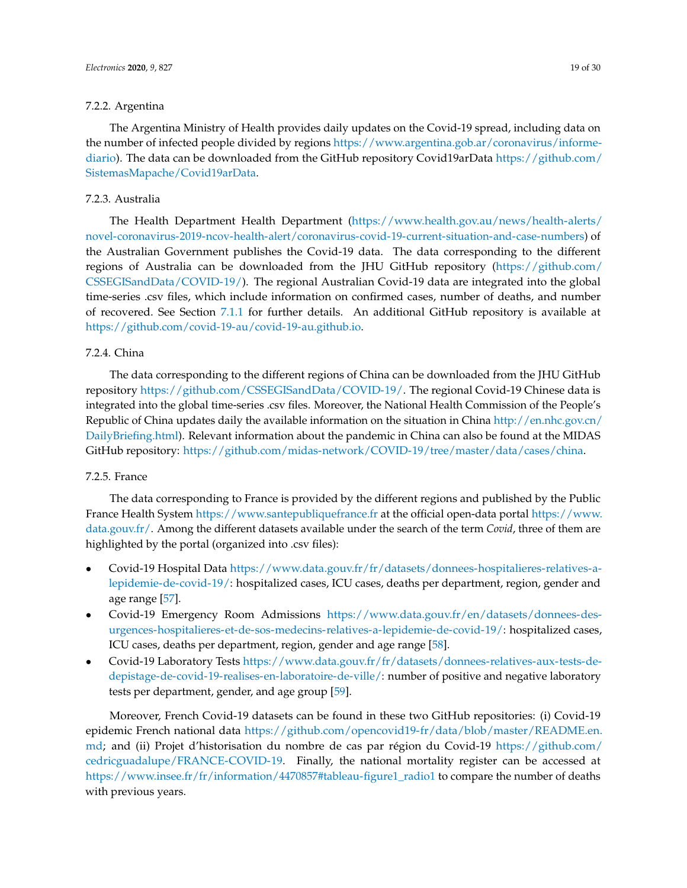#### 7.2.2. Argentina

The Argentina Ministry of Health provides daily updates on the Covid-19 spread, including data on the number of infected people divided by regions [https://www.argentina.gob.ar/coronavirus/informe](https://www.argentina.gob.ar/coronavirus/informe-diario)[diario\)](https://www.argentina.gob.ar/coronavirus/informe-diario). The data can be downloaded from the GitHub repository Covid19arData [https://github.com/](https://github.com/SistemasMapache/Covid19arData) [SistemasMapache/Covid19arData.](https://github.com/SistemasMapache/Covid19arData)

## 7.2.3. Australia

The Health Department Health Department [\(https://www.health.gov.au/news/health-alerts/](https://www.health.gov.au/news/health-alerts/novel-coronavirus-2019-ncov-health-alert/coronavirus-covid-19-current-situation-and-case-numbers) [novel-coronavirus-2019-ncov-health-alert/coronavirus-covid-19-current-situation-and-case-numbers\)](https://www.health.gov.au/news/health-alerts/novel-coronavirus-2019-ncov-health-alert/coronavirus-covid-19-current-situation-and-case-numbers) of the Australian Government publishes the Covid-19 data. The data corresponding to the different regions of Australia can be downloaded from the JHU GitHub repository [\(https://github.com/](https://github.com/CSSEGISandData/COVID-19/) [CSSEGISandData/COVID-19/\)](https://github.com/CSSEGISandData/COVID-19/). The regional Australian Covid-19 data are integrated into the global time-series .csv files, which include information on confirmed cases, number of deaths, and number of recovered. See Section 7.1.1 for further details. An additional GitHub repository is available at [https://github.com/covid-19-au/covid-19-au.github.io.](https://github.com/covid-19-au/covid-19-au.github.io)

## 7.2.4. China

The data corresponding to the different regions of China can be downloaded from the JHU GitHub repository [https://github.com/CSSEGISandData/COVID-19/.](https://github.com/CSSEGISandData/COVID-19/) The regional Covid-19 Chinese data is integrated into the global time-series .csv files. Moreover, the National Health Commission of the People's Republic of China updates daily the available information on the situation in China [http://en.nhc.gov.cn/](http://en.nhc.gov.cn/DailyBriefing.html) [DailyBriefing.html\)](http://en.nhc.gov.cn/DailyBriefing.html). Relevant information about the pandemic in China can also be found at the MIDAS GitHub repository: [https://github.com/midas-network/COVID-19/tree/master/data/cases/china.](https://github.com/midas-network/COVID-19/tree/master/data/cases/china)

## 7.2.5. France

The data corresponding to France is provided by the different regions and published by the Public France Health System <https://www.santepubliquefrance.fr> at the official open-data portal [https://www.](https://www.data.gouv.fr/) [data.gouv.fr/.](https://www.data.gouv.fr/) Among the different datasets available under the search of the term *Covid*, three of them are highlighted by the portal (organized into .csv files):

- Covid-19 Hospital Data [https://www.data.gouv.fr/fr/datasets/donnees-hospitalieres-relatives-a](https://www.data.gouv.fr/fr/datasets/donnees-hospitalieres-relatives-a-lepidemie-de-covid-19/)[lepidemie-de-covid-19/:](https://www.data.gouv.fr/fr/datasets/donnees-hospitalieres-relatives-a-lepidemie-de-covid-19/) hospitalized cases, ICU cases, deaths per department, region, gender and age range [57].
- Covid-19 Emergency Room Admissions [https://www.data.gouv.fr/en/datasets/donnees-des](https://www.data.gouv.fr/en/datasets/donnees-des-urgences-hospitalieres-et-de-sos-medecins-relatives-a-lepidemie-de-covid-19/)[urgences-hospitalieres-et-de-sos-medecins-relatives-a-lepidemie-de-covid-19/:](https://www.data.gouv.fr/en/datasets/donnees-des-urgences-hospitalieres-et-de-sos-medecins-relatives-a-lepidemie-de-covid-19/) hospitalized cases, ICU cases, deaths per department, region, gender and age range [58].
- Covid-19 Laboratory Tests [https://www.data.gouv.fr/fr/datasets/donnees-relatives-aux-tests-de](https://www.data.gouv.fr/fr/datasets/donnees-relatives-aux-tests-de-depistage-de-covid-19-realises-en-laboratoire-de-ville/)[depistage-de-covid-19-realises-en-laboratoire-de-ville/:](https://www.data.gouv.fr/fr/datasets/donnees-relatives-aux-tests-de-depistage-de-covid-19-realises-en-laboratoire-de-ville/) number of positive and negative laboratory tests per department, gender, and age group [59].

Moreover, French Covid-19 datasets can be found in these two GitHub repositories: (i) Covid-19 epidemic French national data [https://github.com/opencovid19-fr/data/blob/master/README.en.](https://github.com/opencovid19-fr/data/blob/master/README.en.md) [md;](https://github.com/opencovid19-fr/data/blob/master/README.en.md) and (ii) Projet d'historisation du nombre de cas par région du Covid-19 [https://github.com/](https://github.com/cedricguadalupe/FRANCE-COVID-19) [cedricguadalupe/FRANCE-COVID-19.](https://github.com/cedricguadalupe/FRANCE-COVID-19) Finally, the national mortality register can be accessed at [https://www.insee.fr/fr/information/4470857#tableau-figure1\\_radio1](https://www.insee.fr/fr/information/4470857#tableau-figure1_radio1) to compare the number of deaths with previous years.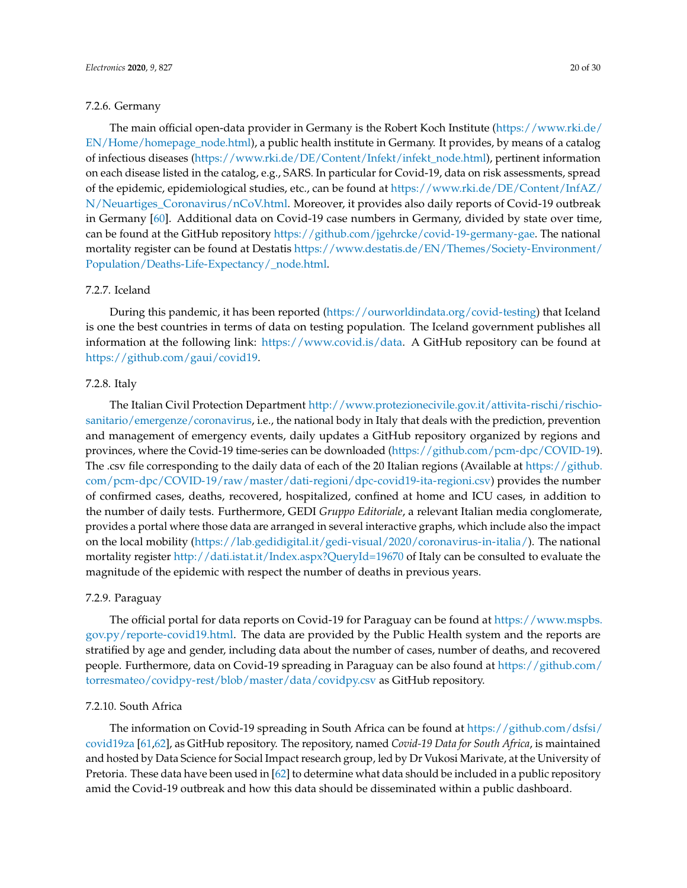## 7.2.6. Germany

The main official open-data provider in Germany is the Robert Koch Institute [\(https://www.rki.de/](https://www.rki.de/EN/Home/homepage_node.html) [EN/Home/homepage\\_node.html\)](https://www.rki.de/EN/Home/homepage_node.html), a public health institute in Germany. It provides, by means of a catalog of infectious diseases [\(https://www.rki.de/DE/Content/Infekt/infekt\\_node.html\)](https://www.rki.de/DE/Content/Infekt/infekt_node.html), pertinent information on each disease listed in the catalog, e.g., SARS. In particular for Covid-19, data on risk assessments, spread of the epidemic, epidemiological studies, etc., can be found at [https://www.rki.de/DE/Content/InfAZ/](https://www.rki.de/DE/Content/InfAZ/N/Neuartiges_Coronavirus/nCoV.html) [N/Neuartiges\\_Coronavirus/nCoV.html.](https://www.rki.de/DE/Content/InfAZ/N/Neuartiges_Coronavirus/nCoV.html) Moreover, it provides also daily reports of Covid-19 outbreak in Germany [60]. Additional data on Covid-19 case numbers in Germany, divided by state over time, can be found at the GitHub repository [https://github.com/jgehrcke/covid-19-germany-gae.](https://github.com/jgehrcke/covid-19-germany-gae) The national mortality register can be found at Destatis [https://www.destatis.de/EN/Themes/Society-Environment/](https://www.destatis.de/EN/Themes/Society-Environment/Population/Deaths-Life-Expectancy/_node.html) [Population/Deaths-Life-Expectancy/\\_node.html.](https://www.destatis.de/EN/Themes/Society-Environment/Population/Deaths-Life-Expectancy/_node.html)

## 7.2.7. Iceland

During this pandemic, it has been reported [\(https://ourworldindata.org/covid-testing\)](https://ourworldindata.org/covid-testing) that Iceland is one the best countries in terms of data on testing population. The Iceland government publishes all information at the following link: [https://www.covid.is/data.](https://www.covid.is/data) A GitHub repository can be found at [https://github.com/gaui/covid19.](https://github.com/gaui/covid19)

#### 7.2.8. Italy

The Italian Civil Protection Department [http://www.protezionecivile.gov.it/attivita-rischi/rischio](http://www.protezionecivile.gov.it/attivita-rischi/rischio-sanitario/emergenze/coronavirus)[sanitario/emergenze/coronavirus,](http://www.protezionecivile.gov.it/attivita-rischi/rischio-sanitario/emergenze/coronavirus) i.e., the national body in Italy that deals with the prediction, prevention and management of emergency events, daily updates a GitHub repository organized by regions and provinces, where the Covid-19 time-series can be downloaded [\(https://github.com/pcm-dpc/COVID-19\)](https://github.com/pcm-dpc/COVID-19). The .csv file corresponding to the daily data of each of the 20 Italian regions (Available at [https://github.](https://github.com/pcm-dpc/COVID-19/raw/master/dati-regioni/dpc-covid19-ita-regioni.csv) [com/pcm-dpc/COVID-19/raw/master/dati-regioni/dpc-covid19-ita-regioni.csv\)](https://github.com/pcm-dpc/COVID-19/raw/master/dati-regioni/dpc-covid19-ita-regioni.csv) provides the number of confirmed cases, deaths, recovered, hospitalized, confined at home and ICU cases, in addition to the number of daily tests. Furthermore, GEDI *Gruppo Editoriale*, a relevant Italian media conglomerate, provides a portal where those data are arranged in several interactive graphs, which include also the impact on the local mobility [\(https://lab.gedidigital.it/gedi-visual/2020/coronavirus-in-italia/\)](https://lab.gedidigital.it/gedi-visual/2020/coronavirus-in-italia/). The national mortality register <http://dati.istat.it/Index.aspx?QueryId=19670> of Italy can be consulted to evaluate the magnitude of the epidemic with respect the number of deaths in previous years.

## 7.2.9. Paraguay

The official portal for data reports on Covid-19 for Paraguay can be found at [https://www.mspbs.](https://www.mspbs.gov.py/reporte-covid19.html) [gov.py/reporte-covid19.html.](https://www.mspbs.gov.py/reporte-covid19.html) The data are provided by the Public Health system and the reports are stratified by age and gender, including data about the number of cases, number of deaths, and recovered people. Furthermore, data on Covid-19 spreading in Paraguay can be also found at [https://github.com/](https://github.com/torresmateo/covidpy-rest/blob/master/data/covidpy.csv) [torresmateo/covidpy-rest/blob/master/data/covidpy.csv](https://github.com/torresmateo/covidpy-rest/blob/master/data/covidpy.csv) as GitHub repository.

#### 7.2.10. South Africa

The information on Covid-19 spreading in South Africa can be found at [https://github.com/dsfsi/](https://github.com/dsfsi/covid19za) [covid19za](https://github.com/dsfsi/covid19za) [61,62], as GitHub repository. The repository, named *Covid-19 Data for South Africa*, is maintained and hosted by Data Science for Social Impact research group, led by Dr Vukosi Marivate, at the University of Pretoria. These data have been used in [62] to determine what data should be included in a public repository amid the Covid-19 outbreak and how this data should be disseminated within a public dashboard.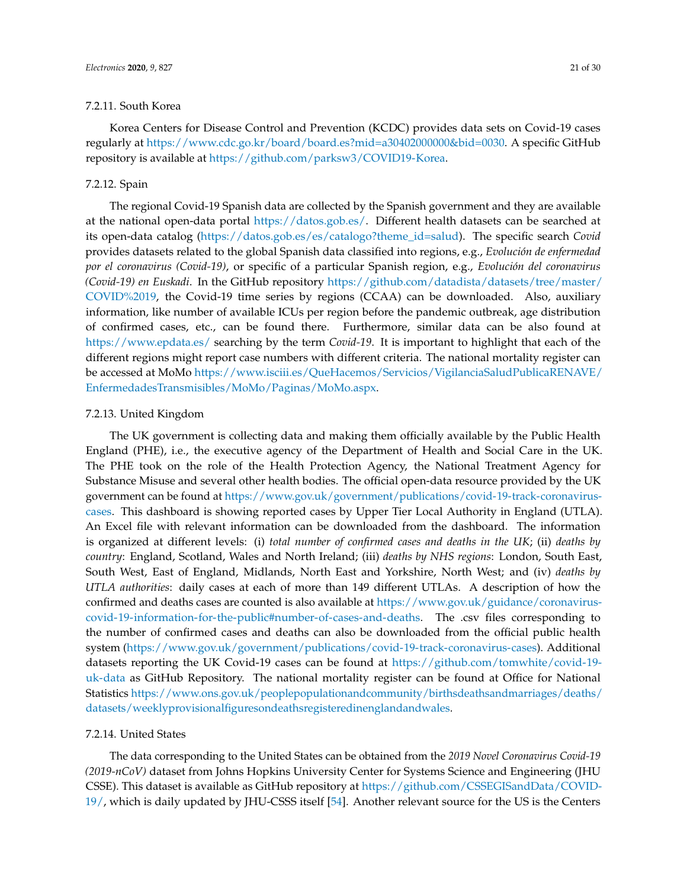## 7.2.11. South Korea

Korea Centers for Disease Control and Prevention (KCDC) provides data sets on Covid-19 cases regularly at [https://www.cdc.go.kr/board/board.es?mid=a30402000000&bid=0030.](https://www.cdc.go.kr/board/board.es?mid=a30402000000&bid=0030) A specific GitHub repository is available at [https://github.com/parksw3/COVID19-Korea.](https://github.com/parksw3/COVID19-Korea)

## 7.2.12. Spain

The regional Covid-19 Spanish data are collected by the Spanish government and they are available at the national open-data portal [https://datos.gob.es/.](https://datos.gob.es/) Different health datasets can be searched at its open-data catalog [\(https://datos.gob.es/es/catalogo?theme\\_id=salud\)](https://datos.gob.es/es/catalogo?theme_id=salud). The specific search *Covid* provides datasets related to the global Spanish data classified into regions, e.g., *Evolución de enfermedad por el coronavirus (Covid-19)*, or specific of a particular Spanish region, e.g., *Evolución del coronavirus (Covid-19) en Euskadi*. In the GitHub repository [https://github.com/datadista/datasets/tree/master/](https://github.com/datadista/datasets/tree/master/COVID%2019) [COVID%2019,](https://github.com/datadista/datasets/tree/master/COVID%2019) the Covid-19 time series by regions (CCAA) can be downloaded. Also, auxiliary information, like number of available ICUs per region before the pandemic outbreak, age distribution of confirmed cases, etc., can be found there. Furthermore, similar data can be also found at <https://www.epdata.es/> searching by the term *Covid-19*. It is important to highlight that each of the different regions might report case numbers with different criteria. The national mortality register can be accessed at MoMo [https://www.isciii.es/QueHacemos/Servicios/VigilanciaSaludPublicaRENAVE/](https://www.isciii.es/QueHacemos/Servicios/VigilanciaSaludPublicaRENAVE/EnfermedadesTransmisibles/MoMo/Paginas/MoMo.aspx) [EnfermedadesTransmisibles/MoMo/Paginas/MoMo.aspx.](https://www.isciii.es/QueHacemos/Servicios/VigilanciaSaludPublicaRENAVE/EnfermedadesTransmisibles/MoMo/Paginas/MoMo.aspx)

## 7.2.13. United Kingdom

The UK government is collecting data and making them officially available by the Public Health England (PHE), i.e., the executive agency of the Department of Health and Social Care in the UK. The PHE took on the role of the Health Protection Agency, the National Treatment Agency for Substance Misuse and several other health bodies. The official open-data resource provided by the UK government can be found at [https://www.gov.uk/government/publications/covid-19-track-coronavirus](https://www.gov.uk/government/publications/covid-19-track-coronavirus-cases)[cases.](https://www.gov.uk/government/publications/covid-19-track-coronavirus-cases) This dashboard is showing reported cases by Upper Tier Local Authority in England (UTLA). An Excel file with relevant information can be downloaded from the dashboard. The information is organized at different levels: (i) *total number of confirmed cases and deaths in the UK*; (ii) *deaths by country*: England, Scotland, Wales and North Ireland; (iii) *deaths by NHS regions*: London, South East, South West, East of England, Midlands, North East and Yorkshire, North West; and (iv) *deaths by UTLA authorities*: daily cases at each of more than 149 different UTLAs. A description of how the confirmed and deaths cases are counted is also available at [https://www.gov.uk/guidance/coronavirus](https://www.gov.uk/guidance/coronavirus-covid-19-information-for-the-public#number-of-cases-and-deaths)[covid-19-information-for-the-public#number-of-cases-and-deaths.](https://www.gov.uk/guidance/coronavirus-covid-19-information-for-the-public#number-of-cases-and-deaths) The .csv files corresponding to the number of confirmed cases and deaths can also be downloaded from the official public health system [\(https://www.gov.uk/government/publications/covid-19-track-coronavirus-cases\)](https://www.gov.uk/government/publications/covid-19-track-coronavirus-cases). Additional datasets reporting the UK Covid-19 cases can be found at [https://github.com/tomwhite/covid-19](https://github.com/tomwhite/covid-19-uk-data) [uk-data](https://github.com/tomwhite/covid-19-uk-data) as GitHub Repository. The national mortality register can be found at Office for National Statistics [https://www.ons.gov.uk/peoplepopulationandcommunity/birthsdeathsandmarriages/deaths/](https://www.ons.gov.uk/peoplepopulationandcommunity/birthsdeathsandmarriages/deaths/datasets/weeklyprovisionalfiguresondeathsregisteredinenglandandwales) [datasets/weeklyprovisionalfiguresondeathsregisteredinenglandandwales.](https://www.ons.gov.uk/peoplepopulationandcommunity/birthsdeathsandmarriages/deaths/datasets/weeklyprovisionalfiguresondeathsregisteredinenglandandwales)

## 7.2.14. United States

The data corresponding to the United States can be obtained from the *2019 Novel Coronavirus Covid-19 (2019-nCoV)* dataset from Johns Hopkins University Center for Systems Science and Engineering (JHU CSSE). This dataset is available as GitHub repository at [https://github.com/CSSEGISandData/COVID-](https://github.com/CSSEGISandData/COVID-19/)[19/,](https://github.com/CSSEGISandData/COVID-19/) which is daily updated by JHU-CSSS itself [54]. Another relevant source for the US is the Centers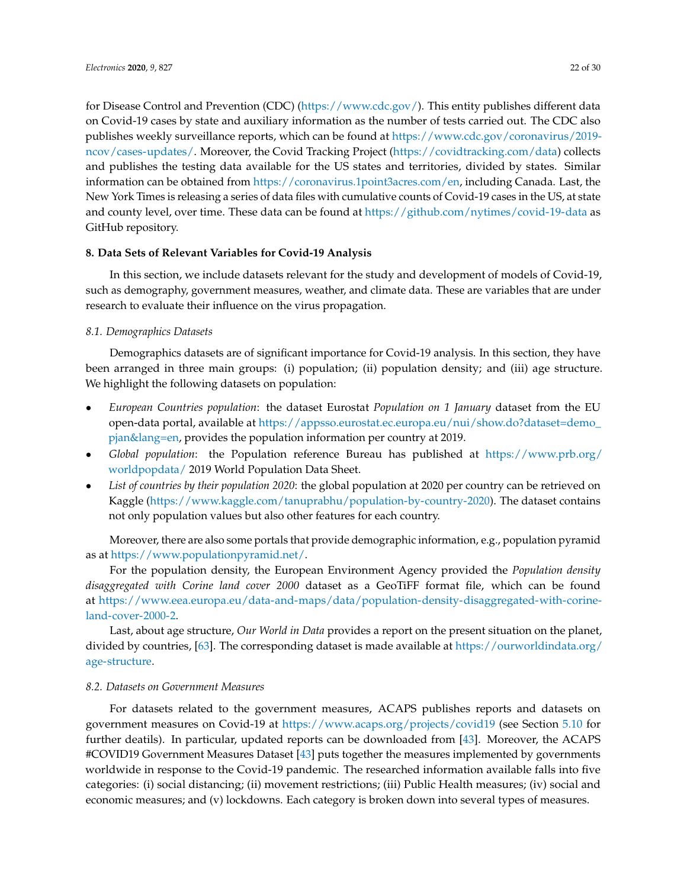for Disease Control and Prevention (CDC) [\(https://www.cdc.gov/\)](https://www.cdc.gov/). This entity publishes different data on Covid-19 cases by state and auxiliary information as the number of tests carried out. The CDC also publishes weekly surveillance reports, which can be found at [https://www.cdc.gov/coronavirus/2019](https://www.cdc.gov/coronavirus/2019-ncov/cases-updates/) [ncov/cases-updates/.](https://www.cdc.gov/coronavirus/2019-ncov/cases-updates/) Moreover, the Covid Tracking Project [\(https://covidtracking.com/data\)](https://covidtracking.com/data) collects and publishes the testing data available for the US states and territories, divided by states. Similar information can be obtained from [https://coronavirus.1point3acres.com/en,](https://coronavirus.1point3acres.com/en) including Canada. Last, the New York Times is releasing a series of data files with cumulative counts of Covid-19 cases in the US, at state and county level, over time. These data can be found at <https://github.com/nytimes/covid-19-data> as GitHub repository.

## **8. Data Sets of Relevant Variables for Covid-19 Analysis**

In this section, we include datasets relevant for the study and development of models of Covid-19, such as demography, government measures, weather, and climate data. These are variables that are under research to evaluate their influence on the virus propagation.

## *8.1. Demographics Datasets*

Demographics datasets are of significant importance for Covid-19 analysis. In this section, they have been arranged in three main groups: (i) population; (ii) population density; and (iii) age structure. We highlight the following datasets on population:

- *European Countries population*: the dataset Eurostat *Population on 1 January* dataset from the EU open-data portal, available at [https://appsso.eurostat.ec.europa.eu/nui/show.do?dataset=demo\\_](https://appsso.eurostat.ec.europa.eu/nui/show.do?dataset=demo_pjan&lang=en) [pjan&lang=en,](https://appsso.eurostat.ec.europa.eu/nui/show.do?dataset=demo_pjan&lang=en) provides the population information per country at 2019.
- *Global population*: the Population reference Bureau has published at [https://www.prb.org/](https://www.prb.org/worldpopdata/) [worldpopdata/](https://www.prb.org/worldpopdata/) 2019 World Population Data Sheet.
- *List of countries by their population 2020*: the global population at 2020 per country can be retrieved on Kaggle [\(https://www.kaggle.com/tanuprabhu/population-by-country-2020\)](https://www.kaggle.com/tanuprabhu/population-by-country-2020). The dataset contains not only population values but also other features for each country.

Moreover, there are also some portals that provide demographic information, e.g., population pyramid as at [https://www.populationpyramid.net/.](https://www.populationpyramid.net/)

For the population density, the European Environment Agency provided the *Population density disaggregated with Corine land cover 2000* dataset as a GeoTiFF format file, which can be found at [https://www.eea.europa.eu/data-and-maps/data/population-density-disaggregated-with-corine](https://www.eea.europa.eu/data-and-maps/data/population-density-disaggregated-with-corine-land-cover-2000-2)[land-cover-2000-2.](https://www.eea.europa.eu/data-and-maps/data/population-density-disaggregated-with-corine-land-cover-2000-2)

Last, about age structure, *Our World in Data* provides a report on the present situation on the planet, divided by countries, [63]. The corresponding dataset is made available at [https://ourworldindata.org/](https://ourworldindata.org/age-structure) [age-structure.](https://ourworldindata.org/age-structure)

## *8.2. Datasets on Government Measures*

For datasets related to the government measures, ACAPS publishes reports and datasets on government measures on Covid-19 at <https://www.acaps.org/projects/covid19> (see Section 5.10 for further deatils). In particular, updated reports can be downloaded from [43]. Moreover, the ACAPS #COVID19 Government Measures Dataset [43] puts together the measures implemented by governments worldwide in response to the Covid-19 pandemic. The researched information available falls into five categories: (i) social distancing; (ii) movement restrictions; (iii) Public Health measures; (iv) social and economic measures; and (v) lockdowns. Each category is broken down into several types of measures.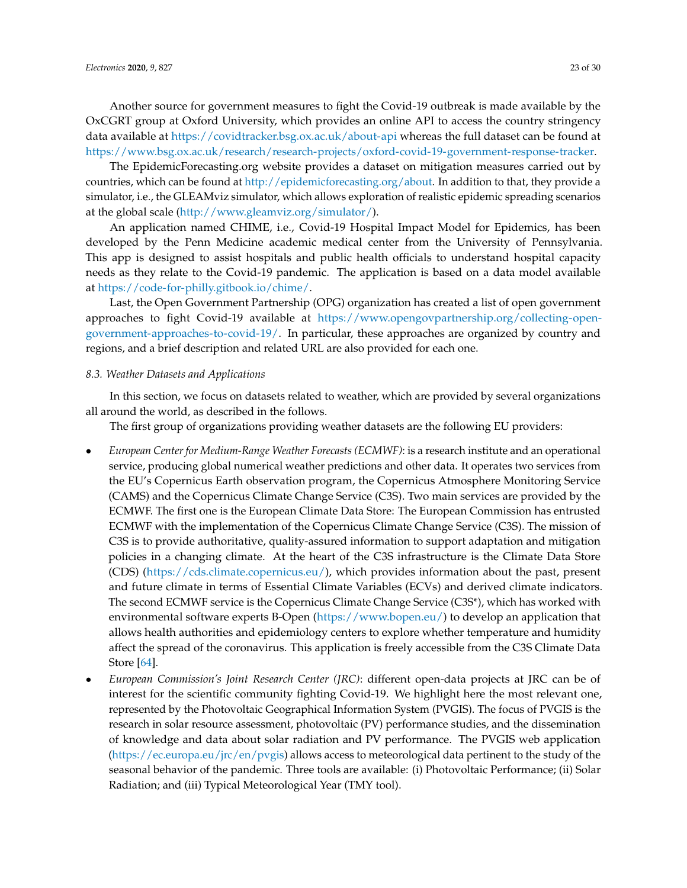Another source for government measures to fight the Covid-19 outbreak is made available by the OxCGRT group at Oxford University, which provides an online API to access the country stringency data available at <https://covidtracker.bsg.ox.ac.uk/about-api> whereas the full dataset can be found at [https://www.bsg.ox.ac.uk/research/research-projects/oxford-covid-19-government-response-tracker.](https://www.bsg.ox.ac.uk/research/research-projects/oxford-covid-19-government-response-tracker)

The EpidemicForecasting.org website provides a dataset on mitigation measures carried out by countries, which can be found at [http://epidemicforecasting.org/about.](http://epidemicforecasting.org/about) In addition to that, they provide a simulator, i.e., the GLEAMviz simulator, which allows exploration of realistic epidemic spreading scenarios at the global scale [\(http://www.gleamviz.org/simulator/\)](http://www.gleamviz.org/simulator/).

An application named CHIME, i.e., Covid-19 Hospital Impact Model for Epidemics, has been developed by the Penn Medicine academic medical center from the University of Pennsylvania. This app is designed to assist hospitals and public health officials to understand hospital capacity needs as they relate to the Covid-19 pandemic. The application is based on a data model available at [https://code-for-philly.gitbook.io/chime/.](https://code-for-philly.gitbook.io/chime/)

Last, the Open Government Partnership (OPG) organization has created a list of open government approaches to fight Covid-19 available at [https://www.opengovpartnership.org/collecting-open](https://www.opengovpartnership.org/collecting-open-government-approaches-to-covid-19/)[government-approaches-to-covid-19/.](https://www.opengovpartnership.org/collecting-open-government-approaches-to-covid-19/) In particular, these approaches are organized by country and regions, and a brief description and related URL are also provided for each one.

#### *8.3. Weather Datasets and Applications*

In this section, we focus on datasets related to weather, which are provided by several organizations all around the world, as described in the follows.

The first group of organizations providing weather datasets are the following EU providers:

- *European Center for Medium-Range Weather Forecasts (ECMWF)*: is a research institute and an operational service, producing global numerical weather predictions and other data. It operates two services from the EU's Copernicus Earth observation program, the Copernicus Atmosphere Monitoring Service (CAMS) and the Copernicus Climate Change Service (C3S). Two main services are provided by the ECMWF. The first one is the European Climate Data Store: The European Commission has entrusted ECMWF with the implementation of the Copernicus Climate Change Service (C3S). The mission of C3S is to provide authoritative, quality-assured information to support adaptation and mitigation policies in a changing climate. At the heart of the C3S infrastructure is the Climate Data Store (CDS) [\(https://cds.climate.copernicus.eu/\)](https://cds.climate.copernicus.eu/), which provides information about the past, present and future climate in terms of Essential Climate Variables (ECVs) and derived climate indicators. The second ECMWF service is the Copernicus Climate Change Service (C3S\*), which has worked with environmental software experts B-Open [\(https://www.bopen.eu/\)](https://www.bopen.eu/) to develop an application that allows health authorities and epidemiology centers to explore whether temperature and humidity affect the spread of the coronavirus. This application is freely accessible from the C3S Climate Data Store [64].
- *European Commission's Joint Research Center (JRC)*: different open-data projects at JRC can be of interest for the scientific community fighting Covid-19. We highlight here the most relevant one, represented by the Photovoltaic Geographical Information System (PVGIS). The focus of PVGIS is the research in solar resource assessment, photovoltaic (PV) performance studies, and the dissemination of knowledge and data about solar radiation and PV performance. The PVGIS web application [\(https://ec.europa.eu/jrc/en/pvgis\)](https://ec.europa.eu/jrc/en/pvgis) allows access to meteorological data pertinent to the study of the seasonal behavior of the pandemic. Three tools are available: (i) Photovoltaic Performance; (ii) Solar Radiation; and (iii) Typical Meteorological Year (TMY tool).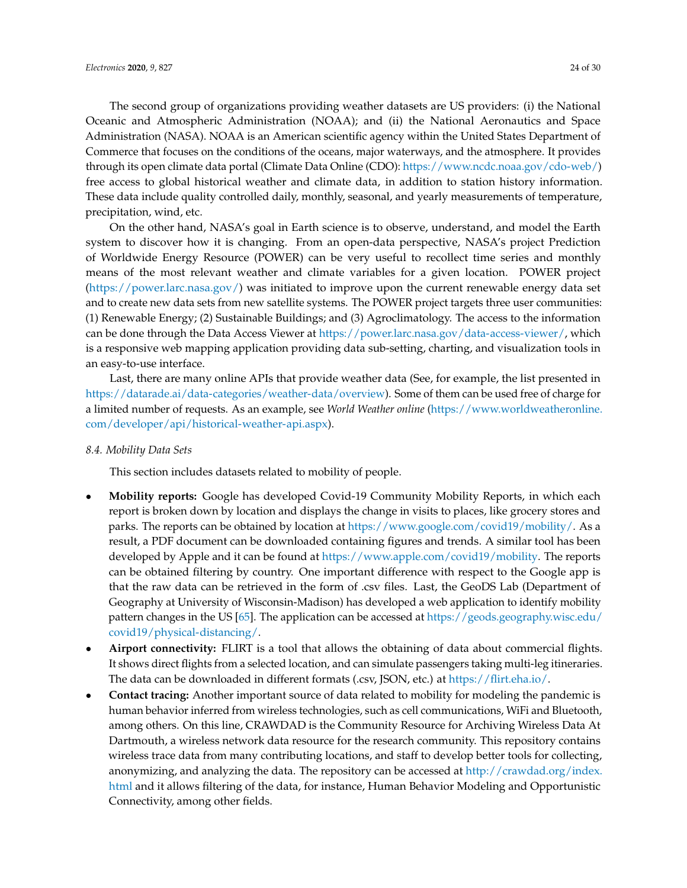The second group of organizations providing weather datasets are US providers: (i) the National Oceanic and Atmospheric Administration (NOAA); and (ii) the National Aeronautics and Space Administration (NASA). NOAA is an American scientific agency within the United States Department of Commerce that focuses on the conditions of the oceans, major waterways, and the atmosphere. It provides through its open climate data portal (Climate Data Online (CDO): [https://www.ncdc.noaa.gov/cdo-web/\)](https://www.ncdc.noaa.gov/cdo-web/) free access to global historical weather and climate data, in addition to station history information. These data include quality controlled daily, monthly, seasonal, and yearly measurements of temperature, precipitation, wind, etc.

On the other hand, NASA's goal in Earth science is to observe, understand, and model the Earth system to discover how it is changing. From an open-data perspective, NASA's project Prediction of Worldwide Energy Resource (POWER) can be very useful to recollect time series and monthly means of the most relevant weather and climate variables for a given location. POWER project [\(https://power.larc.nasa.gov/\)](https://power.larc.nasa.gov/) was initiated to improve upon the current renewable energy data set and to create new data sets from new satellite systems. The POWER project targets three user communities: (1) Renewable Energy; (2) Sustainable Buildings; and (3) Agroclimatology. The access to the information can be done through the Data Access Viewer at [https://power.larc.nasa.gov/data-access-viewer/,](https://power.larc.nasa.gov/data-access-viewer/) which is a responsive web mapping application providing data sub-setting, charting, and visualization tools in an easy-to-use interface.

Last, there are many online APIs that provide weather data (See, for example, the list presented in [https://datarade.ai/data-categories/weather-data/overview\)](https://datarade.ai/data-categories/weather-data/overview). Some of them can be used free of charge for a limited number of requests. As an example, see *World Weather online* [\(https://www.worldweatheronline.](https://www.worldweatheronline.com/developer/api/historical-weather-api.aspx) [com/developer/api/historical-weather-api.aspx\)](https://www.worldweatheronline.com/developer/api/historical-weather-api.aspx).

## *8.4. Mobility Data Sets*

This section includes datasets related to mobility of people.

- **Mobility reports:** Google has developed Covid-19 Community Mobility Reports, in which each report is broken down by location and displays the change in visits to places, like grocery stores and parks. The reports can be obtained by location at [https://www.google.com/covid19/mobility/.](https://www.google.com/covid19/mobility/) As a result, a PDF document can be downloaded containing figures and trends. A similar tool has been developed by Apple and it can be found at [https://www.apple.com/covid19/mobility.](https://www.apple.com/covid19/mobility) The reports can be obtained filtering by country. One important difference with respect to the Google app is that the raw data can be retrieved in the form of .csv files. Last, the GeoDS Lab (Department of Geography at University of Wisconsin-Madison) has developed a web application to identify mobility pattern changes in the US [65]. The application can be accessed at [https://geods.geography.wisc.edu/](https://geods.geography.wisc.edu/covid19/physical-distancing/) [covid19/physical-distancing/.](https://geods.geography.wisc.edu/covid19/physical-distancing/)
- **Airport connectivity:** FLIRT is a tool that allows the obtaining of data about commercial flights. It shows direct flights from a selected location, and can simulate passengers taking multi-leg itineraries. The data can be downloaded in different formats (.csv, JSON, etc.) at [https://flirt.eha.io/.](https://flirt.eha.io/)
- **Contact tracing:** Another important source of data related to mobility for modeling the pandemic is human behavior inferred from wireless technologies, such as cell communications, WiFi and Bluetooth, among others. On this line, CRAWDAD is the Community Resource for Archiving Wireless Data At Dartmouth, a wireless network data resource for the research community. This repository contains wireless trace data from many contributing locations, and staff to develop better tools for collecting, anonymizing, and analyzing the data. The repository can be accessed at [http://crawdad.org/index.](http://crawdad.org/index.html) [html](http://crawdad.org/index.html) and it allows filtering of the data, for instance, Human Behavior Modeling and Opportunistic Connectivity, among other fields.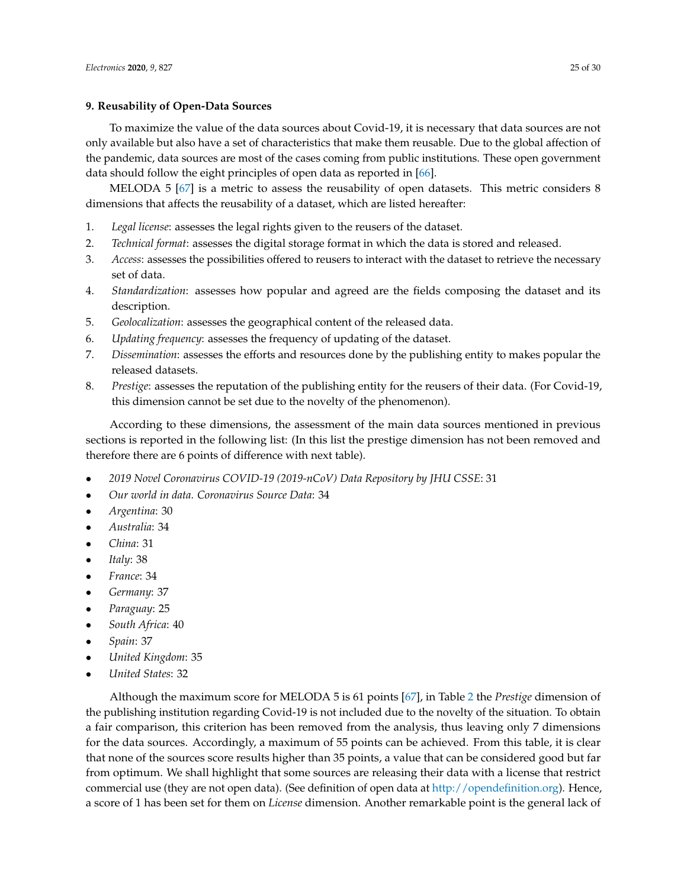## **9. Reusability of Open-Data Sources**

To maximize the value of the data sources about Covid-19, it is necessary that data sources are not only available but also have a set of characteristics that make them reusable. Due to the global affection of the pandemic, data sources are most of the cases coming from public institutions. These open government data should follow the eight principles of open data as reported in [66].

MELODA 5 [67] is a metric to assess the reusability of open datasets. This metric considers 8 dimensions that affects the reusability of a dataset, which are listed hereafter:

- 1. *Legal license*: assesses the legal rights given to the reusers of the dataset.
- 2. *Technical format*: assesses the digital storage format in which the data is stored and released.
- 3. *Access*: assesses the possibilities offered to reusers to interact with the dataset to retrieve the necessary set of data.
- 4. *Standardization*: assesses how popular and agreed are the fields composing the dataset and its description.
- 5. *Geolocalization*: assesses the geographical content of the released data.
- 6. *Updating frequency*: assesses the frequency of updating of the dataset.
- 7. *Dissemination*: assesses the efforts and resources done by the publishing entity to makes popular the released datasets.
- 8. *Prestige*: assesses the reputation of the publishing entity for the reusers of their data. (For Covid-19, this dimension cannot be set due to the novelty of the phenomenon).

According to these dimensions, the assessment of the main data sources mentioned in previous sections is reported in the following list: (In this list the prestige dimension has not been removed and therefore there are 6 points of difference with next table).

- *2019 Novel Coronavirus COVID-19 (2019-nCoV) Data Repository by JHU CSSE*: 31
- *Our world in data. Coronavirus Source Data*: 34
- *Argentina*: 30
- *Australia*: 34
- *China*: 31
- *Italy*: 38
- *France*: 34
- *Germany*: 37
- *Paraguay*: 25
- *South Africa*: 40
- *Spain*: 37
- *United Kingdom*: 35
- *United States*: 32

Although the maximum score for MELODA 5 is 61 points [67], in Table 2 the *Prestige* dimension of the publishing institution regarding Covid-19 is not included due to the novelty of the situation. To obtain a fair comparison, this criterion has been removed from the analysis, thus leaving only 7 dimensions for the data sources. Accordingly, a maximum of 55 points can be achieved. From this table, it is clear that none of the sources score results higher than 35 points, a value that can be considered good but far from optimum. We shall highlight that some sources are releasing their data with a license that restrict commercial use (they are not open data). (See definition of open data at [http://opendefinition.org\)](http://opendefinition.org). Hence, a score of 1 has been set for them on *License* dimension. Another remarkable point is the general lack of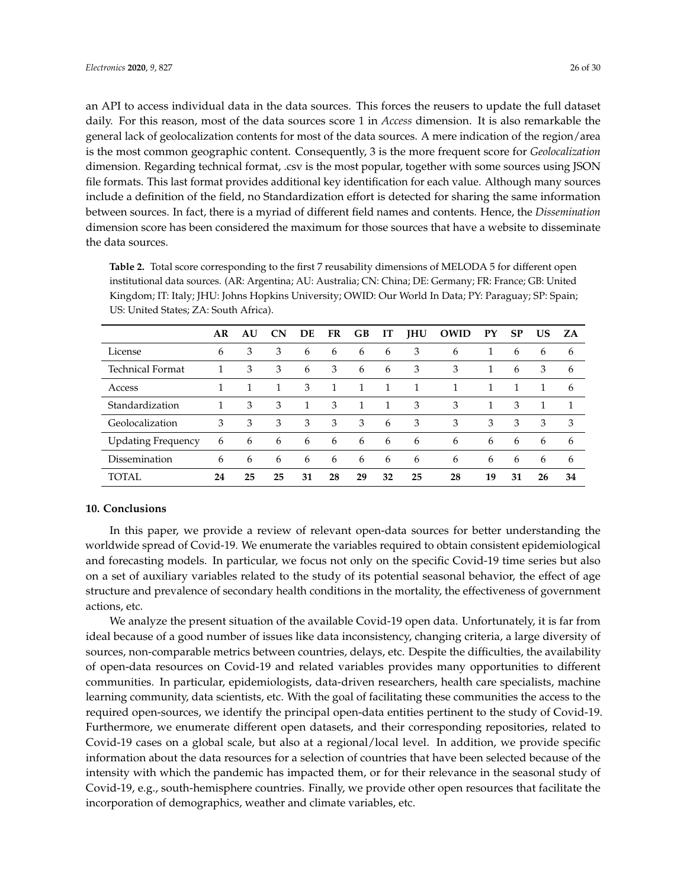an API to access individual data in the data sources. This forces the reusers to update the full dataset daily. For this reason, most of the data sources score 1 in *Access* dimension. It is also remarkable the general lack of geolocalization contents for most of the data sources. A mere indication of the region/area is the most common geographic content. Consequently, 3 is the more frequent score for *Geolocalization* dimension. Regarding technical format, .csv is the most popular, together with some sources using JSON file formats. This last format provides additional key identification for each value. Although many sources include a definition of the field, no Standardization effort is detected for sharing the same information between sources. In fact, there is a myriad of different field names and contents. Hence, the *Dissemination* dimension score has been considered the maximum for those sources that have a website to disseminate the data sources.

**Table 2.** Total score corresponding to the first 7 reusability dimensions of MELODA 5 for different open institutional data sources. (AR: Argentina; AU: Australia; CN: China; DE: Germany; FR: France; GB: United Kingdom; IT: Italy; JHU: Johns Hopkins University; OWID: Our World In Data; PY: Paraguay; SP: Spain; US: United States; ZA: South Africa).

|                           | AR | AU | <b>CN</b> | DE | FR | <b>GB</b> | ΙТ | <b>JHU</b> | OWID | PY | <b>SP</b> | US | ZA |
|---------------------------|----|----|-----------|----|----|-----------|----|------------|------|----|-----------|----|----|
| License                   | 6  | 3  | 3         | 6  | 6  | 6         | 6  | 3          | 6    | 1  | 6         | 6  | 6  |
| <b>Technical Format</b>   |    | 3  | 3         | 6  | 3  | 6         | 6  | 3          | 3    | 1  | 6         | 3  | 6  |
| Access                    |    |    |           | 3  | 1  | 1         |    |            |      |    |           |    | 6  |
| Standardization           | 1  | 3  | 3         | 1  | 3  | 1         | 1  | 3          | 3    | 1  | 3         |    | 1. |
| Geolocalization           | 3  | 3  | 3         | 3  | 3  | 3         | 6  | 3          | 3    | 3  | 3         | 3  | 3  |
| <b>Updating Frequency</b> | 6  | 6  | 6         | 6  | 6  | 6         | 6  | 6          | 6    | 6  | 6         | 6  | 6  |
| Dissemination             | 6  | 6  | 6         | 6  | 6  | 6         | 6  | 6          | 6    | 6  | 6         | 6  | 6  |
| TOTAL                     | 24 | 25 | 25        | 31 | 28 | 29        | 32 | 25         | 28   | 19 | 31        | 26 | 34 |

#### **10. Conclusions**

In this paper, we provide a review of relevant open-data sources for better understanding the worldwide spread of Covid-19. We enumerate the variables required to obtain consistent epidemiological and forecasting models. In particular, we focus not only on the specific Covid-19 time series but also on a set of auxiliary variables related to the study of its potential seasonal behavior, the effect of age structure and prevalence of secondary health conditions in the mortality, the effectiveness of government actions, etc.

We analyze the present situation of the available Covid-19 open data. Unfortunately, it is far from ideal because of a good number of issues like data inconsistency, changing criteria, a large diversity of sources, non-comparable metrics between countries, delays, etc. Despite the difficulties, the availability of open-data resources on Covid-19 and related variables provides many opportunities to different communities. In particular, epidemiologists, data-driven researchers, health care specialists, machine learning community, data scientists, etc. With the goal of facilitating these communities the access to the required open-sources, we identify the principal open-data entities pertinent to the study of Covid-19. Furthermore, we enumerate different open datasets, and their corresponding repositories, related to Covid-19 cases on a global scale, but also at a regional/local level. In addition, we provide specific information about the data resources for a selection of countries that have been selected because of the intensity with which the pandemic has impacted them, or for their relevance in the seasonal study of Covid-19, e.g., south-hemisphere countries. Finally, we provide other open resources that facilitate the incorporation of demographics, weather and climate variables, etc.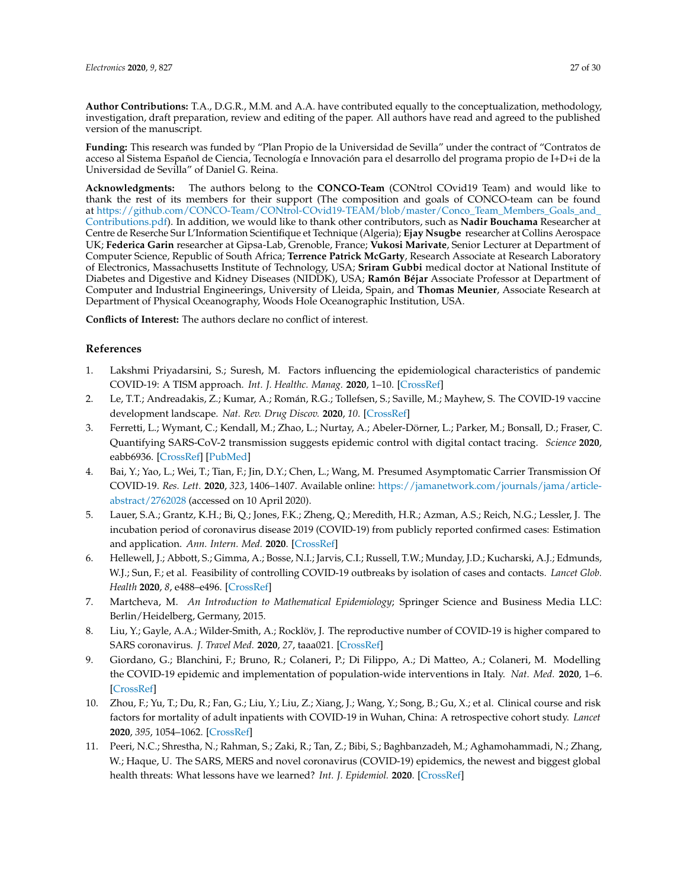**Author Contributions:** T.A., D.G.R., M.M. and A.A. have contributed equally to the conceptualization, methodology, investigation, draft preparation, review and editing of the paper. All authors have read and agreed to the published version of the manuscript.

**Funding:** This research was funded by "Plan Propio de la Universidad de Sevilla" under the contract of "Contratos de acceso al Sistema Español de Ciencia, Tecnología e Innovación para el desarrollo del programa propio de I+D+i de la Universidad de Sevilla" of Daniel G. Reina.

**Acknowledgments:** The authors belong to the **CONCO-Team** (CONtrol COvid19 Team) and would like to thank the rest of its members for their support (The composition and goals of CONCO-team can be found at [https://github.com/CONCO-Team/CONtrol-COvid19-TEAM/blob/master/Conco\\_Team\\_Members\\_Goals\\_and\\_](https://github.com/CONCO-Team/CONtrol-COvid19-TEAM/blob/master/Conco_Team_Members_Goals_and_Contributions.pdf) [Contributions.pdf\)](https://github.com/CONCO-Team/CONtrol-COvid19-TEAM/blob/master/Conco_Team_Members_Goals_and_Contributions.pdf). In addition, we would like to thank other contributors, such as **Nadir Bouchama** Researcher at Centre de Reserche Sur L'Information Scientifique et Technique (Algeria); **Ejay Nsugbe** researcher at Collins Aerospace UK; **Federica Garin** researcher at Gipsa-Lab, Grenoble, France; **Vukosi Marivate**, Senior Lecturer at Department of Computer Science, Republic of South Africa; **Terrence Patrick McGarty**, Research Associate at Research Laboratory of Electronics, Massachusetts Institute of Technology, USA; **Sriram Gubbi** medical doctor at National Institute of Diabetes and Digestive and Kidney Diseases (NIDDK), USA; **Ramón Béjar** Associate Professor at Department of Computer and Industrial Engineerings, University of Lleida, Spain, and **Thomas Meunier**, Associate Research at Department of Physical Oceanography, Woods Hole Oceanographic Institution, USA.

**Conflicts of Interest:** The authors declare no conflict of interest.

## **References**

- 1. Lakshmi Priyadarsini, S.; Suresh, M. Factors influencing the epidemiological characteristics of pandemic COVID-19: A TISM approach. *Int. J. Healthc. Manag.* **2020**, 1–10. [\[CrossRef\]](http://dx.doi.org/10.1080/20479700.2020.1755804)
- 2. Le, T.T.; Andreadakis, Z.; Kumar, A.; Román, R.G.; Tollefsen, S.; Saville, M.; Mayhew, S. The COVID-19 vaccine development landscape. *Nat. Rev. Drug Discov.* **2020**, *10*. [\[CrossRef\]](http://dx.doi.org/10.1080/20479700.2020.1755804)
- 3. Ferretti, L.; Wymant, C.; Kendall, M.; Zhao, L.; Nurtay, A.; Abeler-Dörner, L.; Parker, M.; Bonsall, D.; Fraser, C. Quantifying SARS-CoV-2 transmission suggests epidemic control with digital contact tracing. *Science* **2020**, eabb6936. [\[CrossRef\]](http://dx.doi.org/10.1126/science.abb6936) [\[PubMed\]](http://www.ncbi.nlm.nih.gov/pubmed/32234805)
- 4. Bai, Y.; Yao, L.; Wei, T.; Tian, F.; Jin, D.Y.; Chen, L.; Wang, M. Presumed Asymptomatic Carrier Transmission Of COVID-19. *Res. Lett.* **2020**, *323*, 1406–1407. Available online: [https://jamanetwork.com/journals/jama/article](https://jamanetwork.com/journals/jama/article-abstract/2762028)[abstract/2762028](https://jamanetwork.com/journals/jama/article-abstract/2762028) (accessed on 10 April 2020).
- 5. Lauer, S.A.; Grantz, K.H.; Bi, Q.; Jones, F.K.; Zheng, Q.; Meredith, H.R.; Azman, A.S.; Reich, N.G.; Lessler, J. The incubation period of coronavirus disease 2019 (COVID-19) from publicly reported confirmed cases: Estimation and application. *Ann. Intern. Med.* **2020**. [\[CrossRef\]](http://dx.doi.org/10.7326/M20-0504)
- 6. Hellewell, J.; Abbott, S.; Gimma, A.; Bosse, N.I.; Jarvis, C.I.; Russell, T.W.; Munday, J.D.; Kucharski, A.J.; Edmunds, W.J.; Sun, F.; et al. Feasibility of controlling COVID-19 outbreaks by isolation of cases and contacts. *Lancet Glob. Health* **2020**, *8*, e488–e496. [\[CrossRef\]](http://dx.doi.org/10.1016/S2214-109X(20)30074-7)
- 7. Martcheva, M. *An Introduction to Mathematical Epidemiology*; Springer Science and Business Media LLC: Berlin/Heidelberg, Germany, 2015.
- 8. Liu, Y.; Gayle, A.A.; Wilder-Smith, A.; Rocklöv, J. The reproductive number of COVID-19 is higher compared to SARS coronavirus. *J. Travel Med.* **2020**, *27*, taaa021. [\[CrossRef\]](http://dx.doi.org/10.1093/jtm/taaa021)
- 9. Giordano, G.; Blanchini, F.; Bruno, R.; Colaneri, P.; Di Filippo, A.; Di Matteo, A.; Colaneri, M. Modelling the COVID-19 epidemic and implementation of population-wide interventions in Italy. *Nat. Med.* **2020**, 1–6. [\[CrossRef\]](http://dx.doi.org/10.1038/s41591-020-0883-7)
- 10. Zhou, F.; Yu, T.; Du, R.; Fan, G.; Liu, Y.; Liu, Z.; Xiang, J.; Wang, Y.; Song, B.; Gu, X.; et al. Clinical course and risk factors for mortality of adult inpatients with COVID-19 in Wuhan, China: A retrospective cohort study. *Lancet* **2020**, *395*, 1054–1062. [\[CrossRef\]](http://dx.doi.org/10.1016/S0140-6736(20)30566-3)
- 11. Peeri, N.C.; Shrestha, N.; Rahman, S.; Zaki, R.; Tan, Z.; Bibi, S.; Baghbanzadeh, M.; Aghamohammadi, N.; Zhang, W.; Haque, U. The SARS, MERS and novel coronavirus (COVID-19) epidemics, the newest and biggest global health threats: What lessons have we learned? *Int. J. Epidemiol.* **2020**. [\[CrossRef\]](http://dx.doi.org/10.1093/ije/dyaa033)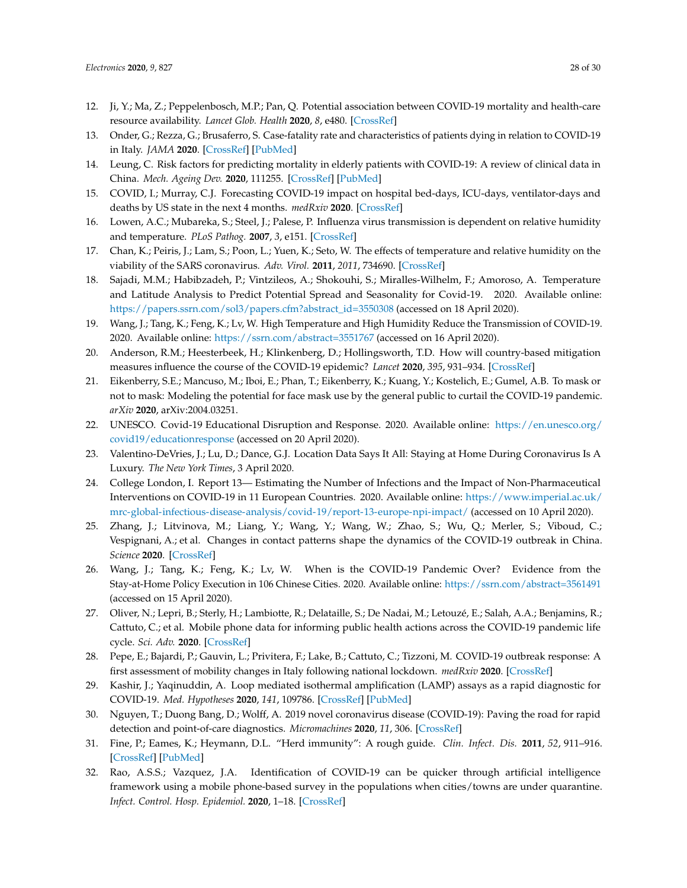- 12. Ji, Y.; Ma, Z.; Peppelenbosch, M.P.; Pan, Q. Potential association between COVID-19 mortality and health-care resource availability. *Lancet Glob. Health* **2020**, *8*, e480. [\[CrossRef\]](http://dx.doi.org/10.1016/S2214-109X(20)30068-1)
- 13. Onder, G.; Rezza, G.; Brusaferro, S. Case-fatality rate and characteristics of patients dying in relation to COVID-19 in Italy. *JAMA* **2020**. [\[CrossRef\]](http://dx.doi.org/10.1001/jama.2020.4683) [\[PubMed\]](http://www.ncbi.nlm.nih.gov/pubmed/32203977)
- 14. Leung, C. Risk factors for predicting mortality in elderly patients with COVID-19: A review of clinical data in China. *Mech. Ageing Dev.* **2020**, 111255. [\[CrossRef\]](http://dx.doi.org/10.1016/j.mad.2020.111255) [\[PubMed\]](http://www.ncbi.nlm.nih.gov/pubmed/32353398)
- 15. COVID, I.; Murray, C.J. Forecasting COVID-19 impact on hospital bed-days, ICU-days, ventilator-days and deaths by US state in the next 4 months. *medRxiv* **2020**. [\[CrossRef\]](http://dx.doi.org/10.1101/2020.03.27.20043752)
- 16. Lowen, A.C.; Mubareka, S.; Steel, J.; Palese, P. Influenza virus transmission is dependent on relative humidity and temperature. *PLoS Pathog.* **2007**, *3*, e151. [\[CrossRef\]](http://dx.doi.org/10.1371/journal.ppat.0030151)
- 17. Chan, K.; Peiris, J.; Lam, S.; Poon, L.; Yuen, K.; Seto, W. The effects of temperature and relative humidity on the viability of the SARS coronavirus. *Adv. Virol.* **2011**, *2011*, 734690. [\[CrossRef\]](http://dx.doi.org/10.1155/2011/734690)
- 18. Sajadi, M.M.; Habibzadeh, P.; Vintzileos, A.; Shokouhi, S.; Miralles-Wilhelm, F.; Amoroso, A. Temperature and Latitude Analysis to Predict Potential Spread and Seasonality for Covid-19. 2020. Available online: [https://papers.ssrn.com/sol3/papers.cfm?abstract\\_id=3550308](https://papers.ssrn.com/sol3/papers.cfm?abstract_id=3550308) (accessed on 18 April 2020).
- 19. Wang, J.; Tang, K.; Feng, K.; Lv, W. High Temperature and High Humidity Reduce the Transmission of COVID-19. 2020. Available online: <https://ssrn.com/abstract=3551767> (accessed on 16 April 2020).
- 20. Anderson, R.M.; Heesterbeek, H.; Klinkenberg, D.; Hollingsworth, T.D. How will country-based mitigation measures influence the course of the COVID-19 epidemic? *Lancet* **2020**, *395*, 931–934. [\[CrossRef\]](http://dx.doi.org/10.1016/S0140-6736(20)30567-5)
- 21. Eikenberry, S.E.; Mancuso, M.; Iboi, E.; Phan, T.; Eikenberry, K.; Kuang, Y.; Kostelich, E.; Gumel, A.B. To mask or not to mask: Modeling the potential for face mask use by the general public to curtail the COVID-19 pandemic. *arXiv* **2020**, arXiv:2004.03251.
- 22. UNESCO. Covid-19 Educational Disruption and Response. 2020. Available online: [https://en.unesco.org/](https://en.unesco.org/covid19/educationresponse) [covid19/educationresponse](https://en.unesco.org/covid19/educationresponse) (accessed on 20 April 2020).
- 23. Valentino-DeVries, J.; Lu, D.; Dance, G.J. Location Data Says It All: Staying at Home During Coronavirus Is A Luxury. *The New York Times*, 3 April 2020.
- 24. College London, I. Report 13— Estimating the Number of Infections and the Impact of Non-Pharmaceutical Interventions on COVID-19 in 11 European Countries. 2020. Available online: [https://www.imperial.ac.uk/](https://www.imperial.ac.uk/mrc-global-infectious-disease-analysis/covid-19/report-13-europe-npi-impact/) [mrc-global-infectious-disease-analysis/covid-19/report-13-europe-npi-impact/](https://www.imperial.ac.uk/mrc-global-infectious-disease-analysis/covid-19/report-13-europe-npi-impact/) (accessed on 10 April 2020).
- 25. Zhang, J.; Litvinova, M.; Liang, Y.; Wang, Y.; Wang, W.; Zhao, S.; Wu, Q.; Merler, S.; Viboud, C.; Vespignani, A.; et al. Changes in contact patterns shape the dynamics of the COVID-19 outbreak in China. *Science* **2020**. [\[CrossRef\]](http://dx.doi.org/10.1126/science.abb8001)
- 26. Wang, J.; Tang, K.; Feng, K.; Lv, W. When is the COVID-19 Pandemic Over? Evidence from the Stay-at-Home Policy Execution in 106 Chinese Cities. 2020. Available online: <https://ssrn.com/abstract=3561491> (accessed on 15 April 2020).
- 27. Oliver, N.; Lepri, B.; Sterly, H.; Lambiotte, R.; Delataille, S.; De Nadai, M.; Letouzé, E.; Salah, A.A.; Benjamins, R.; Cattuto, C.; et al. Mobile phone data for informing public health actions across the COVID-19 pandemic life cycle. *Sci. Adv.* **2020**. [\[CrossRef\]](http://dx.doi.org/10.1126/sciadv.abc0764)
- 28. Pepe, E.; Bajardi, P.; Gauvin, L.; Privitera, F.; Lake, B.; Cattuto, C.; Tizzoni, M. COVID-19 outbreak response: A first assessment of mobility changes in Italy following national lockdown. *medRxiv* **2020**. [\[CrossRef\]](http://dx.doi.org/10.1101/2020.03.22.20039933v2)
- 29. Kashir, J.; Yaqinuddin, A. Loop mediated isothermal amplification (LAMP) assays as a rapid diagnostic for COVID-19. *Med. Hypotheses* **2020**, *141*, 109786. [\[CrossRef\]](http://dx.doi.org/10.1016/j.mehy.2020.109786) [\[PubMed\]](http://www.ncbi.nlm.nih.gov/pubmed/32361529)
- 30. Nguyen, T.; Duong Bang, D.; Wolff, A. 2019 novel coronavirus disease (COVID-19): Paving the road for rapid detection and point-of-care diagnostics. *Micromachines* **2020**, *11*, 306. [\[CrossRef\]](http://dx.doi.org/10.3390/mi11030306)
- 31. Fine, P.; Eames, K.; Heymann, D.L. "Herd immunity": A rough guide. *Clin. Infect. Dis.* **2011**, *52*, 911–916. [\[CrossRef\]](http://dx.doi.org/10.1093/cid/cir007) [\[PubMed\]](http://www.ncbi.nlm.nih.gov/pubmed/21427399)
- 32. Rao, A.S.S.; Vazquez, J.A. Identification of COVID-19 can be quicker through artificial intelligence framework using a mobile phone-based survey in the populations when cities/towns are under quarantine. *Infect. Control. Hosp. Epidemiol.* **2020**, 1–18. [\[CrossRef\]](http://dx.doi.org/10.1017/ice.2020.61)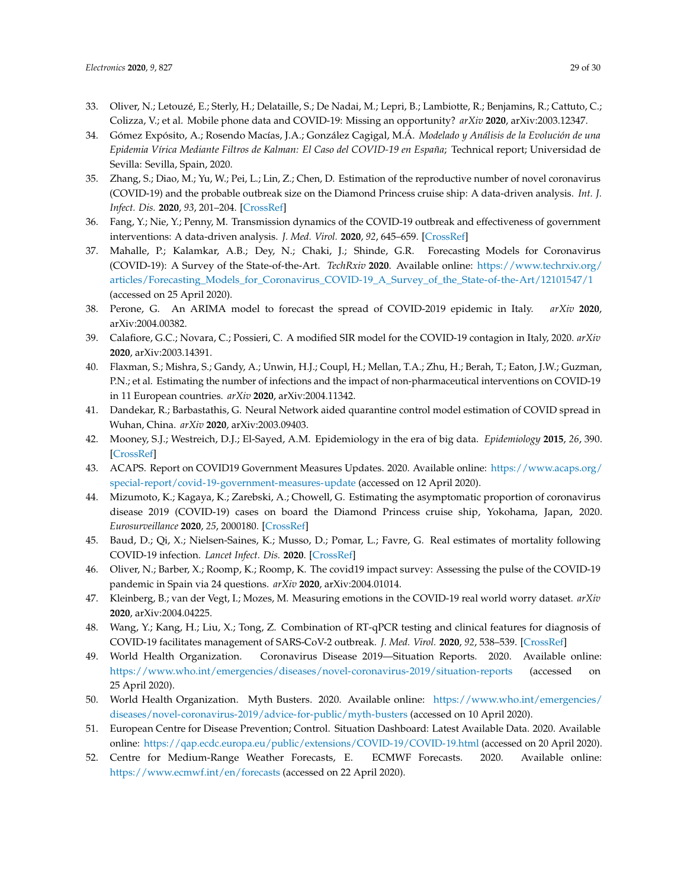- 33. Oliver, N.; Letouzé, E.; Sterly, H.; Delataille, S.; De Nadai, M.; Lepri, B.; Lambiotte, R.; Benjamins, R.; Cattuto, C.; Colizza, V.; et al. Mobile phone data and COVID-19: Missing an opportunity? *arXiv* **2020**, arXiv:2003.12347.
- 34. Gómez Expósito, A.; Rosendo Macías, J.A.; González Cagigal, M.Á. *Modelado y Análisis de la Evolución de una Epidemia Vírica Mediante Filtros de Kalman: El Caso del COVID-19 en España*; Technical report; Universidad de Sevilla: Sevilla, Spain, 2020.
- 35. Zhang, S.; Diao, M.; Yu, W.; Pei, L.; Lin, Z.; Chen, D. Estimation of the reproductive number of novel coronavirus (COVID-19) and the probable outbreak size on the Diamond Princess cruise ship: A data-driven analysis. *Int. J. Infect. Dis.* **2020**, *93*, 201–204. [\[CrossRef\]](http://dx.doi.org/10.1016/j.ijid.2020.02.033)
- 36. Fang, Y.; Nie, Y.; Penny, M. Transmission dynamics of the COVID-19 outbreak and effectiveness of government interventions: A data-driven analysis. *J. Med. Virol.* **2020**, *92*, 645–659. [\[CrossRef\]](http://dx.doi.org/10.1002/jmv.25750)
- 37. Mahalle, P.; Kalamkar, A.B.; Dey, N.; Chaki, J.; Shinde, G.R. Forecasting Models for Coronavirus (COVID-19): A Survey of the State-of-the-Art. *TechRxiv* **2020**. Available online: [https://www.techrxiv.org/](https://www.techrxiv.org/articles/Forecasting_Models_for_Coronavirus_COVID-19_A_Survey_of_the_State-of-the-Art/12101547/1) [articles/Forecasting\\_Models\\_for\\_Coronavirus\\_COVID-19\\_A\\_Survey\\_of\\_the\\_State-of-the-Art/12101547/1](https://www.techrxiv.org/articles/Forecasting_Models_for_Coronavirus_COVID-19_A_Survey_of_the_State-of-the-Art/12101547/1) (accessed on 25 April 2020).
- 38. Perone, G. An ARIMA model to forecast the spread of COVID-2019 epidemic in Italy. *arXiv* **2020**, arXiv:2004.00382.
- 39. Calafiore, G.C.; Novara, C.; Possieri, C. A modified SIR model for the COVID-19 contagion in Italy, 2020. *arXiv* **2020**, arXiv:2003.14391.
- 40. Flaxman, S.; Mishra, S.; Gandy, A.; Unwin, H.J.; Coupl, H.; Mellan, T.A.; Zhu, H.; Berah, T.; Eaton, J.W.; Guzman, P.N.; et al. Estimating the number of infections and the impact of non-pharmaceutical interventions on COVID-19 in 11 European countries. *arXiv* **2020**, arXiv:2004.11342.
- 41. Dandekar, R.; Barbastathis, G. Neural Network aided quarantine control model estimation of COVID spread in Wuhan, China. *arXiv* **2020**, arXiv:2003.09403.
- 42. Mooney, S.J.; Westreich, D.J.; El-Sayed, A.M. Epidemiology in the era of big data. *Epidemiology* **2015**, *26*, 390. [\[CrossRef\]](http://dx.doi.org/10.1097/EDE.0000000000000274)
- 43. ACAPS. Report on COVID19 Government Measures Updates. 2020. Available online: [https://www.acaps.org/](https://www.acaps.org/special-report/covid-19-government-measures-update) [special-report/covid-19-government-measures-update](https://www.acaps.org/special-report/covid-19-government-measures-update) (accessed on 12 April 2020).
- 44. Mizumoto, K.; Kagaya, K.; Zarebski, A.; Chowell, G. Estimating the asymptomatic proportion of coronavirus disease 2019 (COVID-19) cases on board the Diamond Princess cruise ship, Yokohama, Japan, 2020. *Eurosurveillance* **2020**, *25*, 2000180. [\[CrossRef\]](http://dx.doi.org/10.2807/1560-7917.ES.2020.25.10.2000180)
- 45. Baud, D.; Qi, X.; Nielsen-Saines, K.; Musso, D.; Pomar, L.; Favre, G. Real estimates of mortality following COVID-19 infection. *Lancet Infect. Dis.* **2020**. [\[CrossRef\]](http://dx.doi.org/10.1016/S1473-3099(20)30195-X)
- 46. Oliver, N.; Barber, X.; Roomp, K.; Roomp, K. The covid19 impact survey: Assessing the pulse of the COVID-19 pandemic in Spain via 24 questions. *arXiv* **2020**, arXiv:2004.01014.
- 47. Kleinberg, B.; van der Vegt, I.; Mozes, M. Measuring emotions in the COVID-19 real world worry dataset. *arXiv* **2020**, arXiv:2004.04225.
- 48. Wang, Y.; Kang, H.; Liu, X.; Tong, Z. Combination of RT-qPCR testing and clinical features for diagnosis of COVID-19 facilitates management of SARS-CoV-2 outbreak. *J. Med. Virol.* **2020**, *92*, 538–539. [\[CrossRef\]](http://dx.doi.org/10.1002/jmv.25721)
- 49. World Health Organization. Coronavirus Disease 2019—Situation Reports. 2020. Available online: <https://www.who.int/emergencies/diseases/novel-coronavirus-2019/situation-reports> (accessed 25 April 2020).
- 50. World Health Organization. Myth Busters. 2020. Available online: [https://www.who.int/emergencies/](https://www.who.int/emergencies/diseases/novel-coronavirus-2019/advice-for-public/myth-busters) [diseases/novel-coronavirus-2019/advice-for-public/myth-busters](https://www.who.int/emergencies/diseases/novel-coronavirus-2019/advice-for-public/myth-busters) (accessed on 10 April 2020).
- 51. European Centre for Disease Prevention; Control. Situation Dashboard: Latest Available Data. 2020. Available online: <https://qap.ecdc.europa.eu/public/extensions/COVID-19/COVID-19.html> (accessed on 20 April 2020).
- 52. Centre for Medium-Range Weather Forecasts, E. ECMWF Forecasts. 2020. Available online: <https://www.ecmwf.int/en/forecasts> (accessed on 22 April 2020).